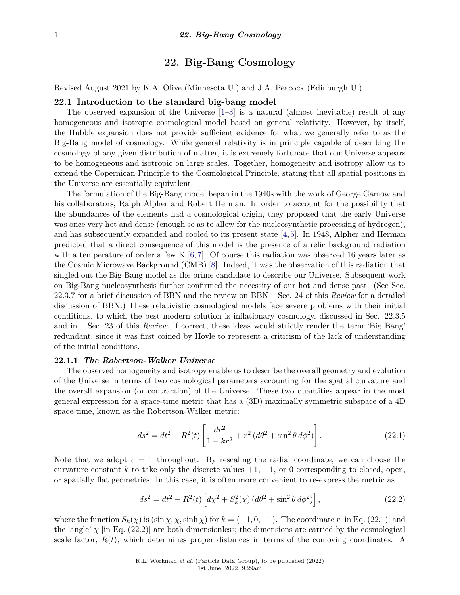# **22. Big-Bang Cosmology**

Revised August 2021 by K.A. Olive (Minnesota U.) and J.A. Peacock (Edinburgh U.).

## **22.1 Introduction to the standard big-bang model**

The observed expansion of the Universe [\[1–](#page-25-0)[3\]](#page-25-1) is a natural (almost inevitable) result of any homogeneous and isotropic cosmological model based on general relativity. However, by itself, the Hubble expansion does not provide sufficient evidence for what we generally refer to as the Big-Bang model of cosmology. While general relativity is in principle capable of describing the cosmology of any given distribution of matter, it is extremely fortunate that our Universe appears to be homogeneous and isotropic on large scales. Together, homogeneity and isotropy allow us to extend the Copernican Principle to the Cosmological Principle, stating that all spatial positions in the Universe are essentially equivalent.

The formulation of the Big-Bang model began in the 1940s with the work of George Gamow and his collaborators, Ralph Alpher and Robert Herman. In order to account for the possibility that the abundances of the elements had a cosmological origin, they proposed that the early Universe was once very hot and dense (enough so as to allow for the nucleosynthetic processing of hydrogen), and has subsequently expanded and cooled to its present state [\[4,](#page-25-2) [5\]](#page-25-3). In 1948, Alpher and Herman predicted that a direct consequence of this model is the presence of a relic background radiation with a temperature of order a few K  $[6, 7]$  $[6, 7]$  $[6, 7]$ . Of course this radiation was observed 16 years later as the Cosmic Microwave Background (CMB) [\[8\]](#page-25-6). Indeed, it was the observation of this radiation that singled out the Big-Bang model as the prime candidate to describe our Universe. Subsequent work on Big-Bang nucleosynthesis further confirmed the necessity of our hot and dense past. (See Sec. 22.3.7 for a brief discussion of BBN and the review on BBN – Sec. 24 of this *Review* for a detailed discussion of BBN.) These relativistic cosmological models face severe problems with their initial conditions, to which the best modern solution is inflationary cosmology, discussed in Sec. 22.3.5 and in – Sec. 23 of this *Review*. If correct, these ideas would strictly render the term 'Big Bang' redundant, since it was first coined by Hoyle to represent a criticism of the lack of understanding of the initial conditions.

#### **22.1.1** *The Robertson-Walker Universe*

The observed homogeneity and isotropy enable us to describe the overall geometry and evolution of the Universe in terms of two cosmological parameters accounting for the spatial curvature and the overall expansion (or contraction) of the Universe. These two quantities appear in the most general expression for a space-time metric that has a (3D) maximally symmetric subspace of a 4D space-time, known as the Robertson-Walker metric:

$$
ds^{2} = dt^{2} - R^{2}(t) \left[ \frac{dr^{2}}{1 - kr^{2}} + r^{2} (d\theta^{2} + \sin^{2} \theta d\phi^{2}) \right].
$$
 (22.1)

Note that we adopt  $c = 1$  throughout. By rescaling the radial coordinate, we can choose the curvature constant k to take only the discrete values  $+1$ ,  $-1$ , or 0 corresponding to closed, open, or spatially flat geometries. In this case, it is often more convenient to re-express the metric as

$$
ds^{2} = dt^{2} - R^{2}(t) \left[ d\chi^{2} + S_{k}^{2}(\chi) \left( d\theta^{2} + \sin^{2} \theta \, d\phi^{2} \right) \right],
$$
 (22.2)

where the function  $S_k(\chi)$  is (sin  $\chi$ ,  $\chi$ , sinh  $\chi$ ) for  $k = (+1, 0, -1)$ . The coordinate *r* [in Eq. (22.1)] and the 'angle'  $\chi$  [in Eq. (22.2)] are both dimensionless; the dimensions are carried by the cosmological scale factor,  $R(t)$ , which determines proper distances in terms of the comoving coordinates. A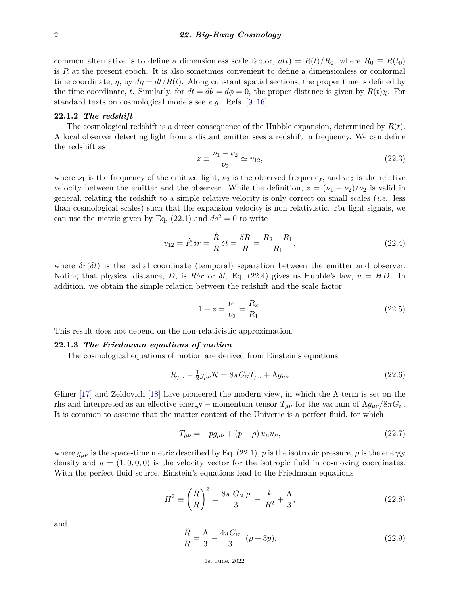common alternative is to define a dimensionless scale factor,  $a(t) = R(t)/R_0$ , where  $R_0 \equiv R(t_0)$ is *R* at the present epoch. It is also sometimes convenient to define a dimensionless or conformal time coordinate,  $\eta$ , by  $d\eta = dt/R(t)$ . Along constant spatial sections, the proper time is defined by the time coordinate, *t*. Similarly, for  $dt = d\theta = d\phi = 0$ , the proper distance is given by  $R(t)\chi$ . For standard texts on cosmological models see *e.g.*, Refs. [\[9–](#page-26-0)[16\]](#page-26-1).

#### **22.1.2** *The redshift*

The cosmological redshift is a direct consequence of the Hubble expansion, determined by *R*(*t*). A local observer detecting light from a distant emitter sees a redshift in frequency. We can define the redshift as

$$
z \equiv \frac{\nu_1 - \nu_2}{\nu_2} \simeq v_{12},\tag{22.3}
$$

where  $\nu_1$  is the frequency of the emitted light,  $\nu_2$  is the observed frequency, and  $v_{12}$  is the relative velocity between the emitter and the observer. While the definition,  $z = (\nu_1 - \nu_2)/\nu_2$  is valid in general, relating the redshift to a simple relative velocity is only correct on small scales (*i.e.*, less than cosmological scales) such that the expansion velocity is non-relativistic. For light signals, we can use the metric given by Eq.  $(22.1)$  and  $ds<sup>2</sup> = 0$  to write

$$
v_{12} = \dot{R}\,\delta r = \frac{\dot{R}}{R}\,\delta t = \frac{\delta R}{R} = \frac{R_2 - R_1}{R_1},\tag{22.4}
$$

where  $\delta r(\delta t)$  is the radial coordinate (temporal) separation between the emitter and observer. Noting that physical distance, *D*, is  $R\delta r$  or  $\delta t$ , Eq. (22.4) gives us Hubble's law,  $v = HD$ . In addition, we obtain the simple relation between the redshift and the scale factor

$$
1 + z = \frac{\nu_1}{\nu_2} = \frac{R_2}{R_1}.\tag{22.5}
$$

This result does not depend on the non-relativistic approximation.

#### **22.1.3** *The Friedmann equations of motion*

The cosmological equations of motion are derived from Einstein's equations

$$
\mathcal{R}_{\mu\nu} - \frac{1}{2}g_{\mu\nu}\mathcal{R} = 8\pi G_{\rm N}T_{\mu\nu} + \Lambda g_{\mu\nu} \tag{22.6}
$$

Gliner [\[17\]](#page-26-2) and Zeldovich [\[18\]](#page-26-3) have pioneered the modern view, in which the  $\Lambda$  term is set on the rhs and interpreted as an effective energy – momentum tensor  $T_{\mu\nu}$  for the vacuum of  $\Lambda g_{\mu\nu}/8\pi G_N$ . It is common to assume that the matter content of the Universe is a perfect fluid, for which

$$
T_{\mu\nu} = -pg_{\mu\nu} + (p+\rho)u_{\mu}u_{\nu},\tag{22.7}
$$

where  $g_{\mu\nu}$  is the space-time metric described by Eq. (22.1), p is the isotropic pressure,  $\rho$  is the energy density and  $u = (1,0,0,0)$  is the velocity vector for the isotropic fluid in co-moving coordinates. With the perfect fluid source, Einstein's equations lead to the Friedmann equations

$$
H^{2} \equiv \left(\frac{\dot{R}}{R}\right)^{2} = \frac{8\pi G_{N}\,\rho}{3} - \frac{k}{R^{2}} + \frac{\Lambda}{3},\tag{22.8}
$$

and

$$
\frac{\ddot{R}}{R} = \frac{\Lambda}{3} - \frac{4\pi G_{\rm N}}{3} \quad (\rho + 3p),\tag{22.9}
$$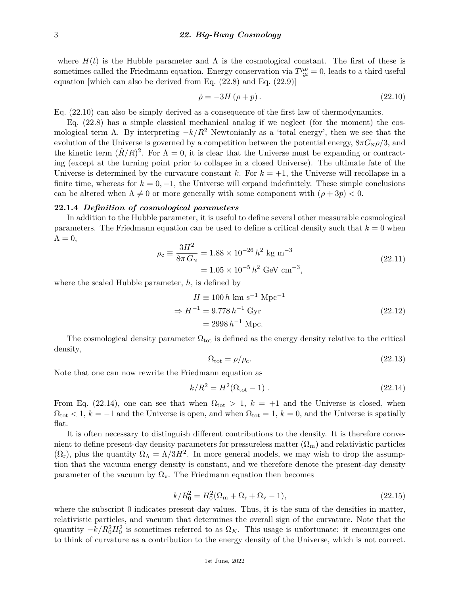where  $H(t)$  is the Hubble parameter and  $\Lambda$  is the cosmological constant. The first of these is sometimes called the Friedmann equation. Energy conservation via  $T^{\mu\nu}_{;\mu} = 0$ , leads to a third useful equation [which can also be derived from Eq. (22.8) and Eq. (22.9)]

$$
\dot{\rho} = -3H\left(\rho + p\right). \tag{22.10}
$$

Eq. (22.10) can also be simply derived as a consequence of the first law of thermodynamics.

Eq. (22.8) has a simple classical mechanical analog if we neglect (for the moment) the cosmological term  $\Lambda$ . By interpreting  $-k/R^2$  Newtonianly as a 'total energy', then we see that the evolution of the Universe is governed by a competition between the potential energy,  $8\pi G_{N}\rho/3$ , and the kinetic term  $(R/R)^2$ . For  $\Lambda = 0$ , it is clear that the Universe must be expanding or contracting (except at the turning point prior to collapse in a closed Universe). The ultimate fate of the Universe is determined by the curvature constant  $k$ . For  $k = +1$ , the Universe will recollapse in a finite time, whereas for  $k = 0, -1$ , the Universe will expand indefinitely. These simple conclusions can be altered when  $\Lambda \neq 0$  or more generally with some component with  $(\rho + 3p) < 0$ .

# **22.1.4** *Definition of cosmological parameters*

In addition to the Hubble parameter, it is useful to define several other measurable cosmological parameters. The Friedmann equation can be used to define a critical density such that  $k = 0$  when  $\Lambda = 0$ ,

$$
\rho_c \equiv \frac{3H^2}{8\pi G_N} = 1.88 \times 10^{-26} h^2 \text{ kg m}^{-3}
$$
  
= 1.05 × 10<sup>-5</sup> h<sup>2</sup> GeV cm<sup>-3</sup>, (22.11)

where the scaled Hubble parameter, *h*, is defined by

$$
H \equiv 100 h \text{ km s}^{-1} \text{ Mpc}^{-1}
$$
  
\n
$$
\Rightarrow H^{-1} = 9.778 h^{-1} \text{ Gyr}
$$
  
\n
$$
= 2998 h^{-1} \text{ Mpc.}
$$
\n(22.12)

The cosmological density parameter  $\Omega_{\text{tot}}$  is defined as the energy density relative to the critical density,

$$
\Omega_{\text{tot}} = \rho / \rho_{\text{c}}.\tag{22.13}
$$

Note that one can now rewrite the Friedmann equation as

$$
k/R^2 = H^2(\Omega_{\text{tot}} - 1) \tag{22.14}
$$

From Eq. (22.14), one can see that when  $\Omega_{\text{tot}} > 1$ ,  $k = +1$  and the Universe is closed, when  $\Omega_{\text{tot}}$  < 1,  $k = -1$  and the Universe is open, and when  $\Omega_{\text{tot}} = 1$ ,  $k = 0$ , and the Universe is spatially flat.

It is often necessary to distinguish different contributions to the density. It is therefore convenient to define present-day density parameters for pressureless matter  $(\Omega_m)$  and relativistic particles  $(\Omega_r)$ , plus the quantity  $\Omega_{\Lambda} = \Lambda/3H^2$ . In more general models, we may wish to drop the assumption that the vacuum energy density is constant, and we therefore denote the present-day density parameter of the vacuum by  $\Omega_{v}$ . The Friedmann equation then becomes

$$
k/R_0^2 = H_0^2(\Omega_{\rm m} + \Omega_{\rm r} + \Omega_{\rm v} - 1),\tag{22.15}
$$

where the subscript 0 indicates present-day values. Thus, it is the sum of the densities in matter, relativistic particles, and vacuum that determines the overall sign of the curvature. Note that the quantity  $-k/R_0^2H_0^2$  is sometimes referred to as  $\Omega_K$ . This usage is unfortunate: it encourages one to think of curvature as a contribution to the energy density of the Universe, which is not correct.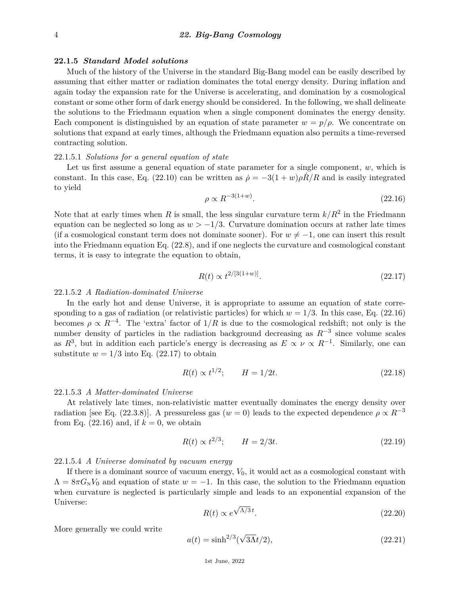#### **22.1.5** *Standard Model solutions*

Much of the history of the Universe in the standard Big-Bang model can be easily described by assuming that either matter or radiation dominates the total energy density. During inflation and again today the expansion rate for the Universe is accelerating, and domination by a cosmological constant or some other form of dark energy should be considered. In the following, we shall delineate the solutions to the Friedmann equation when a single component dominates the energy density. Each component is distinguished by an equation of state parameter  $w = p/\rho$ . We concentrate on solutions that expand at early times, although the Friedmann equation also permits a time-reversed contracting solution.

## 22.1.5.1 *Solutions for a general equation of state*

Let us first assume a general equation of state parameter for a single component, *w*, which is constant. In this case, Eq. (22.10) can be written as  $\dot{\rho} = -3(1+w)\rho R/R$  and is easily integrated to yield

$$
\rho \propto R^{-3(1+w)}.\tag{22.16}
$$

Note that at early times when *R* is small, the less singular curvature term  $k/R^2$  in the Friedmann equation can be neglected so long as  $w > -1/3$ . Curvature domination occurs at rather late times (if a cosmological constant term does not dominate sooner). For  $w \neq -1$ , one can insert this result into the Friedmann equation Eq. (22.8), and if one neglects the curvature and cosmological constant terms, it is easy to integrate the equation to obtain,

$$
R(t) \propto t^{2/[3(1+w)]}.\tag{22.17}
$$

### 22.1.5.2 *A Radiation-dominated Universe*

In the early hot and dense Universe, it is appropriate to assume an equation of state corresponding to a gas of radiation (or relativistic particles) for which  $w = 1/3$ . In this case, Eq. (22.16) becomes  $\rho \propto R^{-4}$ . The 'extra' factor of  $1/R$  is due to the cosmological redshift; not only is the number density of particles in the radiation background decreasing as *R*−<sup>3</sup> since volume scales as  $R^3$ , but in addition each particle's energy is decreasing as  $E \propto \nu \propto R^{-1}$ . Similarly, one can substitute  $w = 1/3$  into Eq. (22.17) to obtain

$$
R(t) \propto t^{1/2}; \qquad H = 1/2t. \tag{22.18}
$$

#### 22.1.5.3 *A Matter-dominated Universe*

At relatively late times, non-relativistic matter eventually dominates the energy density over radiation [see Eq. (22.3.8)]. A pressureless gas ( $w = 0$ ) leads to the expected dependence  $\rho \propto R^{-3}$ from Eq.  $(22.16)$  and, if  $k = 0$ , we obtain

$$
R(t) \propto t^{2/3}; \qquad H = 2/3t. \tag{22.19}
$$

#### 22.1.5.4 *A Universe dominated by vacuum energy*

If there is a dominant source of vacuum energy, *V*0, it would act as a cosmological constant with  $\Lambda = 8\pi G_{\rm N}V_0$  and equation of state  $w = -1$ . In this case, the solution to the Friedmann equation when curvature is neglected is particularly simple and leads to an exponential expansion of the Universe: √

$$
R(t) \propto e^{\sqrt{\Lambda/3} \, t}.\tag{22.20}
$$

More generally we could write

$$
a(t) = \sinh^{2/3}(\sqrt{3\Lambda}t/2),
$$
\n(22.21)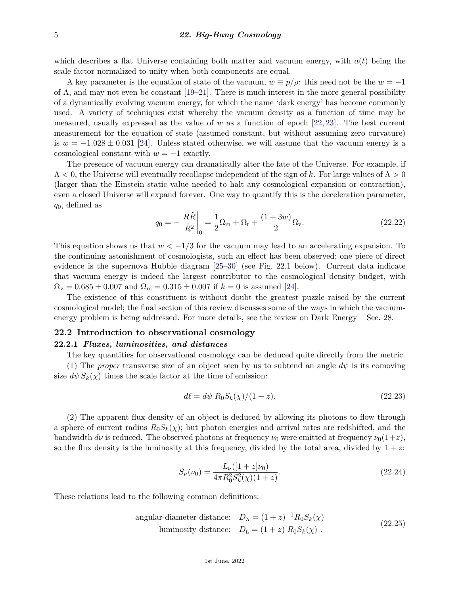which describes a flat Universe containing both matter and vacuum energy, with  $a(t)$  being the scale factor normalized to unity when both components are equal.

A key parameter is the equation of state of the vacuum,  $w \equiv p/\rho$ : this need not be the  $w = -1$ of  $\Lambda$ , and may not even be constant  $[19-21]$  $[19-21]$ . There is much interest in the more general possibility of a dynamically evolving vacuum energy, for which the name 'dark energy' has become commonly used. A variety of techniques exist whereby the vacuum density as a function of time may be measured, usually expressed as the value of *w* as a function of epoch [\[22,](#page-26-6) [23\]](#page-26-7). The best current measurement for the equation of state (assumed constant, but without assuming zero curvature) is  $w = -1.028 \pm 0.031$  [\[24\]](#page-26-8). Unless stated otherwise, we will assume that the vacuum energy is a cosmological constant with  $w = -1$  exactly.

The presence of vacuum energy can dramatically alter the fate of the Universe. For example, if Λ *<* 0, the Universe will eventually recollapse independent of the sign of *k*. For large values of Λ *>* 0 (larger than the Einstein static value needed to halt any cosmological expansion or contraction), even a closed Universe will expand forever. One way to quantify this is the deceleration parameter, *q*0, defined as

$$
q_0 = -\frac{R\ddot{R}}{\dot{R}^2}\bigg|_0 = \frac{1}{2}\Omega_{\rm m} + \Omega_{\rm r} + \frac{(1+3w)}{2}\Omega_{\rm v}.\tag{22.22}
$$

This equation shows us that  $w < -1/3$  for the vacuum may lead to an accelerating expansion. To the continuing astonishment of cosmologists, such an effect has been observed; one piece of direct evidence is the supernova Hubble diagram [\[25–](#page-26-9)[30\]](#page-26-10) (see Fig. 22.1 below). Current data indicate that vacuum energy is indeed the largest contributor to the cosmological density budget, with  $\Omega_{\rm v} = 0.685 \pm 0.007$  and  $\Omega_{\rm m} = 0.315 \pm 0.007$  if  $k = 0$  is assumed [\[24\]](#page-26-8).

The existence of this constituent is without doubt the greatest puzzle raised by the current cosmological model; the final section of this review discusses some of the ways in which the vacuumenergy problem is being addressed. For more details, see the review on Dark Energy – Sec. 28.

# **22.2 Introduction to observational cosmology**

# **22.2.1** *Fluxes, luminosities, and distances*

The key quantities for observational cosmology can be deduced quite directly from the metric.

(1) The *proper* transverse size of an object seen by us to subtend an angle  $d\psi$  is its comoving size  $d\psi S_k(\chi)$  times the scale factor at the time of emission:

$$
d\ell = d\psi R_0 S_k(\chi)/(1+z). \tag{22.23}
$$

(2) The apparent flux density of an object is deduced by allowing its photons to flow through a sphere of current radius  $R_0S_k(\chi)$ ; but photon energies and arrival rates are redshifted, and the bandwidth  $d\nu$  is reduced. The observed photons at frequency  $\nu_0$  were emitted at frequency  $\nu_0(1+z)$ , so the flux density is the luminosity at this frequency, divided by the total area, divided by  $1 + z$ .

$$
S_{\nu}(\nu_0) = \frac{L_{\nu}([1+z]\nu_0)}{4\pi R_0^2 S_k^2(\chi)(1+z)}.
$$
\n(22.24)

These relations lead to the following common definitions:

angular-diameter distance: 
$$
D_A = (1+z)^{-1} R_0 S_k(\chi)
$$
  
luminosity distance:  $D_L = (1+z) R_0 S_k(\chi)$ . (22.25)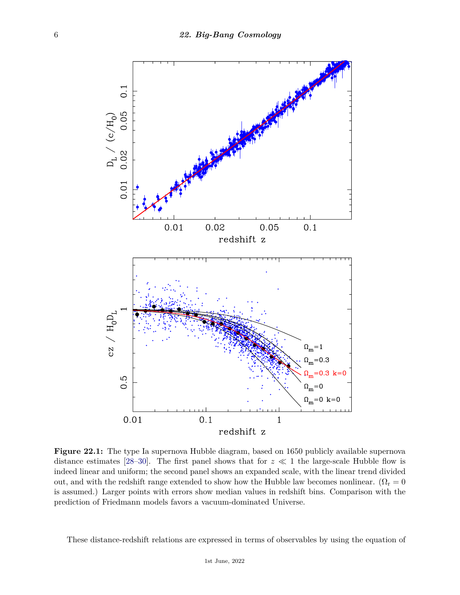

**Figure 22.1:** The type Ia supernova Hubble diagram, based on 1650 publicly available supernova distance estimates [\[28](#page-26-11)[–30\]](#page-26-10). The first panel shows that for  $z \ll 1$  the large-scale Hubble flow is indeed linear and uniform; the second panel shows an expanded scale, with the linear trend divided out, and with the redshift range extended to show how the Hubble law becomes nonlinear. ( $\Omega_r = 0$ is assumed.) Larger points with errors show median values in redshift bins. Comparison with the prediction of Friedmann models favors a vacuum-dominated Universe.

These distance-redshift relations are expressed in terms of observables by using the equation of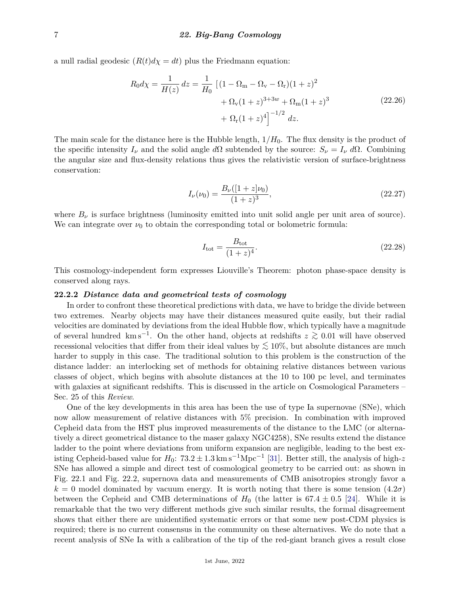a null radial geodesic  $(R(t)d\chi = dt)$  plus the Friedmann equation:

$$
R_0 d\chi = \frac{1}{H(z)} dz = \frac{1}{H_0} \left[ (1 - \Omega_m - \Omega_v - \Omega_r)(1 + z)^2 + \Omega_v (1 + z)^{3 + 3w} + \Omega_m (1 + z)^3 + \Omega_r (1 + z)^4 \right]^{-1/2} dz.
$$
 (22.26)

The main scale for the distance here is the Hubble length, 1*/H*0. The flux density is the product of the specific intensity  $I_{\nu}$  and the solid angle  $d\Omega$  subtended by the source:  $S_{\nu} = I_{\nu} d\Omega$ . Combining the angular size and flux-density relations thus gives the relativistic version of surface-brightness conservation:

$$
I_{\nu}(\nu_0) = \frac{B_{\nu}([1+z]\nu_0)}{(1+z)^3},\tag{22.27}
$$

where  $B_{\nu}$  is surface brightness (luminosity emitted into unit solid angle per unit area of source). We can integrate over  $\nu_0$  to obtain the corresponding total or bolometric formula:

$$
I_{\text{tot}} = \frac{B_{\text{tot}}}{(1+z)^4}.
$$
\n(22.28)

This cosmology-independent form expresses Liouville's Theorem: photon phase-space density is conserved along rays.

#### **22.2.2** *Distance data and geometrical tests of cosmology*

In order to confront these theoretical predictions with data, we have to bridge the divide between two extremes. Nearby objects may have their distances measured quite easily, but their radial velocities are dominated by deviations from the ideal Hubble flow, which typically have a magnitude of several hundred km s−<sup>1</sup> . On the other hand, objects at redshifts *<sup>z</sup> <sup>&</sup>gt;*<sup>∼</sup> <sup>0</sup>*.*<sup>01</sup> will have observed recessional velocities that differ from their ideal values by *<sup>&</sup>lt;*<sup>∼</sup> 10%, but absolute distances are much harder to supply in this case. The traditional solution to this problem is the construction of the distance ladder: an interlocking set of methods for obtaining relative distances between various classes of object, which begins with absolute distances at the 10 to 100 pc level, and terminates with galaxies at significant redshifts. This is discussed in the article on Cosmological Parameters – Sec. 25 of this *Review*.

One of the key developments in this area has been the use of type Ia supernovae (SNe), which now allow measurement of relative distances with 5% precision. In combination with improved Cepheid data from the HST plus improved measurements of the distance to the LMC (or alternatively a direct geometrical distance to the maser galaxy NGC4258), SNe results extend the distance ladder to the point where deviations from uniform expansion are negligible, leading to the best existing Cepheid-based value for  $H_0$ :  $73.2 \pm 1.3 \text{ km s}^{-1} \text{Mpc}^{-1}$  [\[31\]](#page-26-12). Better still, the analysis of high-z SNe has allowed a simple and direct test of cosmological geometry to be carried out: as shown in Fig. 22.1 and Fig. 22.2, supernova data and measurements of CMB anisotropies strongly favor a  $k = 0$  model dominated by vacuum energy. It is worth noting that there is some tension  $(4.2\sigma)$ between the Cepheid and CMB determinations of  $H_0$  (the latter is 67.4  $\pm$  0.5 [\[24\]](#page-26-8). While it is remarkable that the two very different methods give such similar results, the formal disagreement shows that either there are unidentified systematic errors or that some new post-CDM physics is required; there is no current consensus in the community on these alternatives. We do note that a recent analysis of SNe Ia with a calibration of the tip of the red-giant branch gives a result close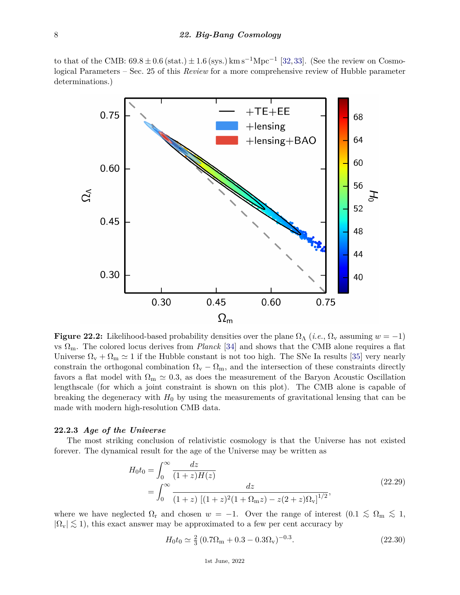to that of the CMB:  $69.8 \pm 0.6$  (stat.)  $\pm 1.6$  (sys.) km s<sup>-1</sup>Mpc<sup>-1</sup> [\[32,](#page-26-13)[33\]](#page-26-14). (See the review on Cosmological Parameters – Sec. 25 of this *Review* for a more comprehensive review of Hubble parameter determinations.)



**Figure 22.2:** Likelihood-based probability densities over the plane  $\Omega_{\Lambda}$  (*i.e.*,  $\Omega_{\rm v}$  assuming  $w = -1$ ) vs  $\Omega_{\rm m}$ . The colored locus derives from *Planck* [\[34\]](#page-26-15) and shows that the CMB alone requires a flat Universe  $\Omega_{\rm v} + \Omega_{\rm m} \simeq 1$  if the Hubble constant is not too high. The SNe Ia results [\[35\]](#page-26-16) very nearly constrain the orthogonal combination  $\Omega_{\rm v} - \Omega_{\rm m}$ , and the intersection of these constraints directly favors a flat model with  $\Omega_{\rm m} \simeq 0.3$ , as does the measurement of the Baryon Acoustic Oscillation lengthscale (for which a joint constraint is shown on this plot). The CMB alone is capable of breaking the degeneracy with  $H_0$  by using the measurements of gravitational lensing that can be made with modern high-resolution CMB data.

# **22.2.3** *Age of the Universe*

The most striking conclusion of relativistic cosmology is that the Universe has not existed forever. The dynamical result for the age of the Universe may be written as

$$
H_0 t_0 = \int_0^\infty \frac{dz}{(1+z)H(z)}
$$
  
= 
$$
\int_0^\infty \frac{dz}{(1+z) [(1+z)^2 (1+\Omega_{\rm m}z) - z(2+z)\Omega_{\rm v}]^{1/2}},
$$
 (22.29)

where we have neglected  $\Omega_r$  and chosen  $w = -1$ . Over the range of interest  $(0.1 \leq \Omega_m \leq 1,$  $|\Omega_{\rm v}| \lesssim 1$ ), this exact answer may be approximated to a few per cent accuracy by

$$
H_0 t_0 \simeq \frac{2}{3} \left( 0.7 \Omega_{\rm m} + 0.3 - 0.3 \Omega_{\rm v} \right)^{-0.3}.
$$
\n(22.30)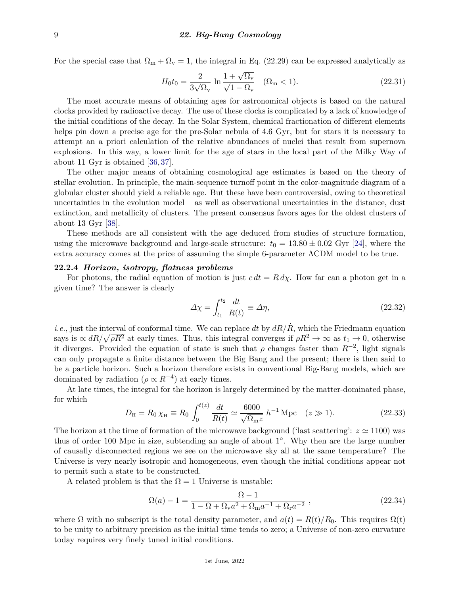For the special case that  $\Omega_m + \Omega_v = 1$ , the integral in Eq. (22.29) can be expressed analytically as

$$
H_0 t_0 = \frac{2}{3\sqrt{\Omega_v}} \ln \frac{1 + \sqrt{\Omega_v}}{\sqrt{1 - \Omega_v}} \quad (\Omega_m < 1).
$$
 (22.31)

The most accurate means of obtaining ages for astronomical objects is based on the natural clocks provided by radioactive decay. The use of these clocks is complicated by a lack of knowledge of the initial conditions of the decay. In the Solar System, chemical fractionation of different elements helps pin down a precise age for the pre-Solar nebula of 4.6 Gyr, but for stars it is necessary to attempt an a priori calculation of the relative abundances of nuclei that result from supernova explosions. In this way, a lower limit for the age of stars in the local part of the Milky Way of about 11 Gyr is obtained [\[36,](#page-26-17) [37\]](#page-26-18).

The other major means of obtaining cosmological age estimates is based on the theory of stellar evolution. In principle, the main-sequence turnoff point in the color-magnitude diagram of a globular cluster should yield a reliable age. But these have been controversial, owing to theoretical uncertainties in the evolution model – as well as observational uncertainties in the distance, dust extinction, and metallicity of clusters. The present consensus favors ages for the oldest clusters of about 13 Gyr [\[38\]](#page-26-19).

These methods are all consistent with the age deduced from studies of structure formation, using the microwave background and large-scale structure:  $t_0 = 13.80 \pm 0.02$  Gyr [\[24\]](#page-26-8), where the extra accuracy comes at the price of assuming the simple 6-parameter ΛCDM model to be true.

## **22.2.4** *Horizon, isotropy, flatness problems*

For photons, the radial equation of motion is just  $c \, dt = R \, d\chi$ . How far can a photon get in a given time? The answer is clearly

$$
\Delta \chi = \int_{t_1}^{t_2} \frac{dt}{R(t)} \equiv \Delta \eta,\tag{22.32}
$$

*i.e.*, just the interval of conformal time. We can replace dt by  $dR/\dot{R}$ , which the Friedmann equation says is  $\propto dR/\sqrt{\rho R^2}$  at early times. Thus, this integral converges if  $\rho R^2 \to \infty$  as  $t_1 \to 0$ , otherwise it diverges. Provided the equation of state is such that  $\rho$  changes faster than  $R^{-2}$ , light signals can only propagate a finite distance between the Big Bang and the present; there is then said to be a particle horizon. Such a horizon therefore exists in conventional Big-Bang models, which are dominated by radiation ( $\rho \propto R^{-4}$ ) at early times.

At late times, the integral for the horizon is largely determined by the matter-dominated phase, for which

$$
D_{\rm H} = R_0 \chi_{\rm H} \equiv R_0 \int_0^{t(z)} \frac{dt}{R(t)} \simeq \frac{6000}{\sqrt{\Omega_{\rm m} z}} \, h^{-1} \, \text{Mpc} \quad (z \gg 1). \tag{22.33}
$$

The horizon at the time of formation of the microwave background ('last scattering':  $z \approx 1100$ ) was thus of order 100 Mpc in size, subtending an angle of about 1<sup>o</sup>. Why then are the large number of causally disconnected regions we see on the microwave sky all at the same temperature? The Universe is very nearly isotropic and homogeneous, even though the initial conditions appear not to permit such a state to be constructed.

A related problem is that the  $\Omega = 1$  Universe is unstable:

$$
\Omega(a) - 1 = \frac{\Omega - 1}{1 - \Omega + \Omega_{\mathbf{v}} a^2 + \Omega_{\mathbf{m}} a^{-1} + \Omega_{\mathbf{r}} a^{-2}} ,
$$
\n(22.34)

where  $\Omega$  with no subscript is the total density parameter, and  $a(t) = R(t)/R_0$ . This requires  $\Omega(t)$ to be unity to arbitrary precision as the initial time tends to zero; a Universe of non-zero curvature today requires very finely tuned initial conditions.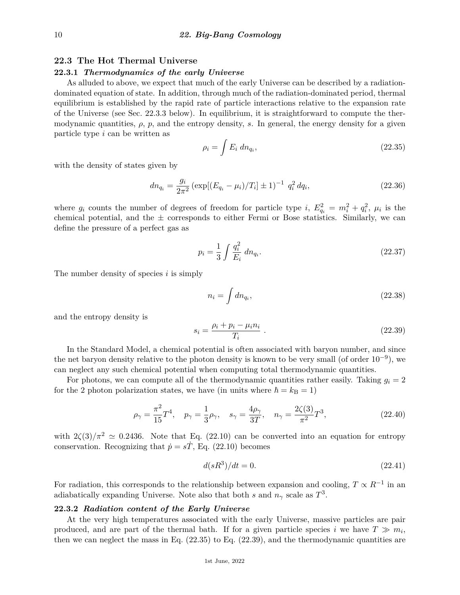# **22.3 The Hot Thermal Universe**

## **22.3.1** *Thermodynamics of the early Universe*

As alluded to above, we expect that much of the early Universe can be described by a radiationdominated equation of state. In addition, through much of the radiation-dominated period, thermal equilibrium is established by the rapid rate of particle interactions relative to the expansion rate of the Universe (see Sec. 22.3.3 below). In equilibrium, it is straightforward to compute the thermodynamic quantities,  $\rho$ ,  $p$ , and the entropy density,  $s$ . In general, the energy density for a given particle type *i* can be written as

$$
\rho_i = \int E_i \, dn_{q_i},\tag{22.35}
$$

with the density of states given by

$$
dn_{q_i} = \frac{g_i}{2\pi^2} \left( \exp[(E_{q_i} - \mu_i)/T_i] \pm 1 \right)^{-1} q_i^2 dq_i,
$$
\n(22.36)

where  $g_i$  counts the number of degrees of freedom for particle type *i*,  $E_{q_i}^2 = m_i^2 + q_i^2$ ,  $\mu_i$  is the chemical potential, and the  $\pm$  corresponds to either Fermi or Bose statistics. Similarly, we can define the pressure of a perfect gas as

$$
p_i = \frac{1}{3} \int \frac{q_i^2}{E_i} \, dn_{q_i}.\tag{22.37}
$$

The number density of species *i* is simply

$$
n_i = \int dn_{q_i},\tag{22.38}
$$

and the entropy density is

$$
s_i = \frac{\rho_i + p_i - \mu_i n_i}{T_i} \tag{22.39}
$$

In the Standard Model, a chemical potential is often associated with baryon number, and since the net baryon density relative to the photon density is known to be very small (of order  $10^{-9}$ ), we can neglect any such chemical potential when computing total thermodynamic quantities.

For photons, we can compute all of the thermodynamic quantities rather easily. Taking  $g_i = 2$ for the 2 photon polarization states, we have (in units where  $\hbar = k_B = 1$ )

$$
\rho_{\gamma} = \frac{\pi^2}{15} T^4
$$
,  $p_{\gamma} = \frac{1}{3} \rho_{\gamma}$ ,  $s_{\gamma} = \frac{4\rho_{\gamma}}{3T}$ ,  $n_{\gamma} = \frac{2\zeta(3)}{\pi^2} T^3$ , (22.40)

with  $2\zeta(3)/\pi^2 \simeq 0.2436$ . Note that Eq. (22.10) can be converted into an equation for entropy conservation. Recognizing that  $\dot{p} = s\dot{T}$ , Eq. (22.10) becomes

$$
d(sR^3)/dt = 0.\t(22.41)
$$

For radiation, this corresponds to the relationship between expansion and cooling,  $T \propto R^{-1}$  in an adiabatically expanding Universe. Note also that both *s* and  $n<sub>\gamma</sub>$  scale as  $T<sup>3</sup>$ .

# **22.3.2** *Radiation content of the Early Universe*

At the very high temperatures associated with the early Universe, massive particles are pair produced, and are part of the thermal bath. If for a given particle species *i* we have  $T \gg m_i$ , then we can neglect the mass in Eq. (22.35) to Eq. (22.39), and the thermodynamic quantities are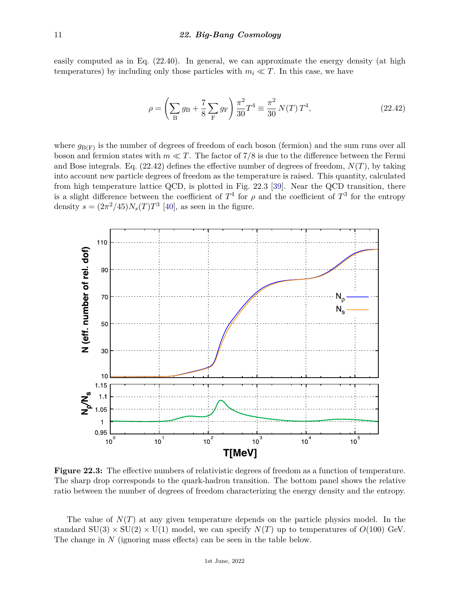easily computed as in Eq. (22.40). In general, we can approximate the energy density (at high temperatures) by including only those particles with  $m_i \ll T$ . In this case, we have

$$
\rho = \left(\sum_{B} g_B + \frac{7}{8} \sum_{F} g_F\right) \frac{\pi^2}{30} T^4 \equiv \frac{\pi^2}{30} N(T) T^4, \qquad (22.42)
$$

where  $g_{\text{B}(F)}$  is the number of degrees of freedom of each boson (fermion) and the sum runs over all boson and fermion states with  $m \ll T$ . The factor of 7/8 is due to the difference between the Fermi and Bose integrals. Eq. (22.42) defines the effective number of degrees of freedom, *N*(*T*), by taking into account new particle degrees of freedom as the temperature is raised. This quantity, calculated from high temperature lattice QCD, is plotted in Fig. 22.3 [\[39\]](#page-26-20). Near the QCD transition, there is a slight difference between the coefficient of  $T^4$  for  $\rho$  and the coefficient of  $T^3$  for the entropy density  $s = (2\pi^2/45)N_s(T)T^3$  [\[40\]](#page-26-21), as seen in the figure.



**Figure 22.3:** The effective numbers of relativistic degrees of freedom as a function of temperature. The sharp drop corresponds to the quark-hadron transition. The bottom panel shows the relative ratio between the number of degrees of freedom characterizing the energy density and the entropy.

The value of  $N(T)$  at any given temperature depends on the particle physics model. In the standard  $SU(3) \times SU(2) \times U(1)$  model, we can specify  $N(T)$  up to temperatures of  $O(100)$  GeV. The change in *N* (ignoring mass effects) can be seen in the table below.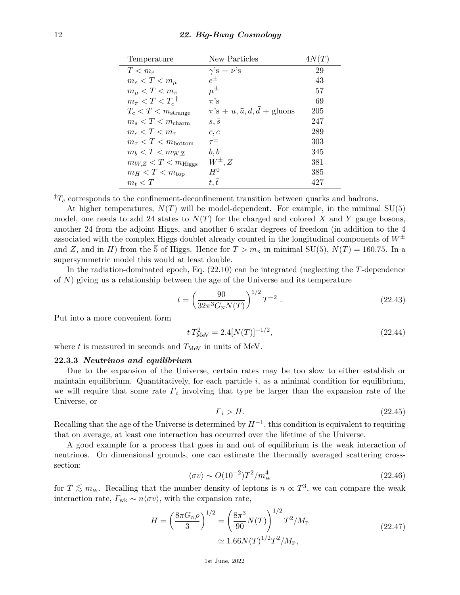| Temperature                        | New Particles                                | 4N(T) |
|------------------------------------|----------------------------------------------|-------|
| $T < m_e$                          | $\gamma$ 's + $\nu$ 's                       | 29    |
| $m_e < T < m_\mu$                  | $e^{\pm}$                                    | 43    |
| $m_{\mu} < T < m_{\pi}$            | $\mu^{\pm}$                                  | 57    |
| $m_{\pi} < T < T_c$ <sup>†</sup>   | $\pi$ 's                                     | 69    |
| $T_c < T < m_{\text{strange}}$     | $\pi$ 's + u, $\bar{u}$ , $d$ , $d$ + gluons | 205   |
| $m_s < T < m_{\text{charm}}$       | $s, \overline{s}$                            | 247   |
| $m_c < T < m_\tau$                 | $c, \bar{c}$                                 | 289   |
| $m_{\tau} < T < m_{\text{bottom}}$ | $\tau^{\pm}$                                 | 303   |
| $m_b < T < m_{\text{W,Z}}$         | $b, \overline{b}$                            | 345   |
| $m_{W,Z} < T < m_{\text{Higgs}}$   | $W^{\pm}, Z$                                 | 381   |
| $m_H < T < m_{\text{top}}$         | $H^0$                                        | 385   |
| $m_t < T$                          | t, t                                         | 427   |

 ${}^{\dagger}T_c$  corresponds to the confinement-deconfinement transition between quarks and hadrons.

At higher temperatures,  $N(T)$  will be model-dependent. For example, in the minimal  $SU(5)$ model, one needs to add 24 states to  $N(T)$  for the charged and colored X and Y gauge bosons, another 24 from the adjoint Higgs, and another 6 scalar degrees of freedom (in addition to the 4 associated with the complex Higgs doublet already counted in the longitudinal components of  $W^{\pm}$ and *Z*, and in *H*) from the 5 of Higgs. Hence for  $T > m_X$  in minimal SU(5),  $N(T) = 160.75$ . In a supersymmetric model this would at least double.

In the radiation-dominated epoch, Eq. (22.10) can be integrated (neglecting the *T*-dependence of *N*) giving us a relationship between the age of the Universe and its temperature

$$
t = \left(\frac{90}{32\pi^3 G_N N(T)}\right)^{1/2} T^{-2} . \tag{22.43}
$$

Put into a more convenient form

$$
t T_{\text{MeV}}^2 = 2.4[N(T)]^{-1/2},\tag{22.44}
$$

where  $t$  is measured in seconds and  $T_{\text{MeV}}$  in units of MeV.

#### **22.3.3** *Neutrinos and equilibrium*

Due to the expansion of the Universe, certain rates may be too slow to either establish or maintain equilibrium. Quantitatively, for each particle *i*, as a minimal condition for equilibrium, we will require that some rate *Γ<sup>i</sup>* involving that type be larger than the expansion rate of the Universe, or

$$
\Gamma_i > H. \tag{22.45}
$$

Recalling that the age of the Universe is determined by  $H^{-1}$ , this condition is equivalent to requiring that on average, at least one interaction has occurred over the lifetime of the Universe.

A good example for a process that goes in and out of equilibrium is the weak interaction of neutrinos. On dimensional grounds, one can estimate the thermally averaged scattering crosssection:

$$
\langle \sigma v \rangle \sim O(10^{-2})T^2/m_{\rm W}^4 \tag{22.46}
$$

for  $T \lesssim m_{\rm w}$ . Recalling that the number density of leptons is  $n \propto T^3$ , we can compare the weak interaction rate,  $\Gamma_{\text{wk}} \sim n \langle \sigma v \rangle$ , with the expansion rate,

$$
H = \left(\frac{8\pi G_{\rm N}\rho}{3}\right)^{1/2} = \left(\frac{8\pi^3}{90}N(T)\right)^{1/2}T^2/M_{\rm P}
$$
  

$$
\approx 1.66N(T)^{1/2}T^2/M_{\rm P},
$$
 (22.47)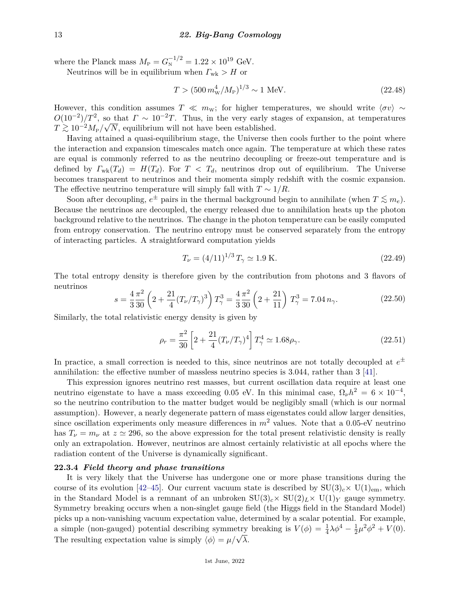where the Planck mass  $M_{\rm P} = G_{\rm N}^{-1/2} = 1.22 \times 10^{19}$  GeV.

Neutrinos will be in equilibrium when  $\Gamma_{\text{wk}} > H$  or

$$
T > (500 \, m_{\rm W}^4 / M_{\rm P})^{1/3} \sim 1 \text{ MeV}.
$$
 (22.48)

However, this condition assumes  $T \ll m_{\rm w}$ ; for higher temperatures, we should write  $\langle \sigma v \rangle \sim$  $O(10^{-2})/T^2$ , so that  $\Gamma \sim 10^{-2}T$ . Thus, in the very early stages of expansion, at temperatures  $T \gtrsim 10^{-2} M_{\text{P}} / \sqrt{N}$ , equilibrium will not have been established.

Having attained a quasi-equilibrium stage, the Universe then cools further to the point where the interaction and expansion timescales match once again. The temperature at which these rates are equal is commonly referred to as the neutrino decoupling or freeze-out temperature and is defined by  $\Gamma_{wk}(T_d) = H(T_d)$ . For  $T < T_d$ , neutrinos drop out of equilibrium. The Universe becomes transparent to neutrinos and their momenta simply redshift with the cosmic expansion. The effective neutrino temperature will simply fall with  $T \sim 1/R$ .

Soon after decoupling,  $e^{\pm}$  pairs in the thermal background begin to annihilate (when  $T \lesssim m_e$ ). Because the neutrinos are decoupled, the energy released due to annihilation heats up the photon background relative to the neutrinos. The change in the photon temperature can be easily computed from entropy conservation. The neutrino entropy must be conserved separately from the entropy of interacting particles. A straightforward computation yields

$$
T_{\nu} = (4/11)^{1/3} T_{\gamma} \simeq 1.9 \text{ K.}
$$
\n(22.49)

The total entropy density is therefore given by the contribution from photons and 3 flavors of neutrinos

$$
s = \frac{4}{3} \frac{\pi^2}{30} \left( 2 + \frac{21}{4} (T_\nu/T_\gamma)^3 \right) T_\gamma^3 = \frac{4}{3} \frac{\pi^2}{30} \left( 2 + \frac{21}{11} \right) T_\gamma^3 = 7.04 \, n_\gamma. \tag{22.50}
$$

Similarly, the total relativistic energy density is given by

$$
\rho_r = \frac{\pi^2}{30} \left[ 2 + \frac{21}{4} (T_\nu/T_\gamma)^4 \right] T_\gamma^4 \simeq 1.68 \rho_\gamma. \tag{22.51}
$$

In practice, a small correction is needed to this, since neutrinos are not totally decoupled at  $e^{\pm}$ annihilation: the effective number of massless neutrino species is 3.044, rather than 3 [\[41\]](#page-26-22).

This expression ignores neutrino rest masses, but current oscillation data require at least one neutrino eigenstate to have a mass exceeding 0.05 eV. In this minimal case,  $\Omega_{\nu}h^2 = 6 \times 10^{-4}$ , so the neutrino contribution to the matter budget would be negligibly small (which is our normal assumption). However, a nearly degenerate pattern of mass eigenstates could allow larger densities, since oscillation experiments only measure differences in  $m^2$  values. Note that a 0.05-eV neutrino has  $T_{\nu} = m_{\nu}$  at  $z \approx 296$ , so the above expression for the total present relativistic density is really only an extrapolation. However, neutrinos are almost certainly relativistic at all epochs where the radiation content of the Universe is dynamically significant.

### **22.3.4** *Field theory and phase transitions*

It is very likely that the Universe has undergone one or more phase transitions during the course of its evolution [\[42](#page-26-23)[–45\]](#page-27-0). Our current vacuum state is described by  $SU(3)_c\times U(1)_{em}$ , which in the Standard Model is a remnant of an unbroken  $SU(3)_c \times SU(2)_L \times U(1)_Y$  gauge symmetry. Symmetry breaking occurs when a non-singlet gauge field (the Higgs field in the Standard Model) picks up a non-vanishing vacuum expectation value, determined by a scalar potential. For example, a simple (non-gauged) potential describing symmetry breaking is  $V(\phi) = \frac{1}{4}\lambda\phi^4 - \frac{1}{2}$  $\frac{1}{2}\mu^2\phi^2 + V(0).$ The resulting expectation value is simply  $\langle \phi \rangle = \mu/\sqrt{\lambda}$ .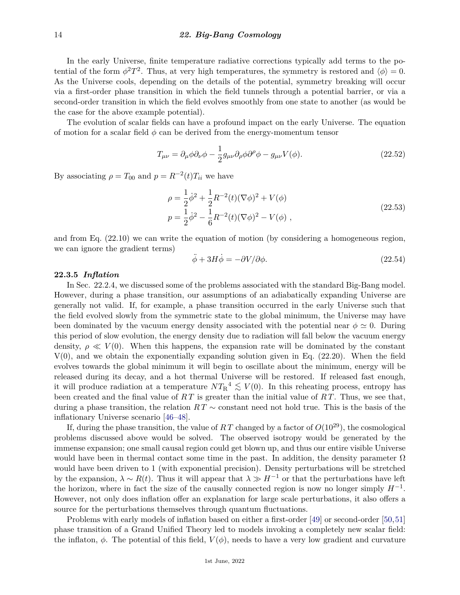In the early Universe, finite temperature radiative corrections typically add terms to the potential of the form  $\phi^2 T^2$ . Thus, at very high temperatures, the symmetry is restored and  $\langle \phi \rangle = 0$ . As the Universe cools, depending on the details of the potential, symmetry breaking will occur via a first-order phase transition in which the field tunnels through a potential barrier, or via a second-order transition in which the field evolves smoothly from one state to another (as would be the case for the above example potential).

The evolution of scalar fields can have a profound impact on the early Universe. The equation of motion for a scalar field  $\phi$  can be derived from the energy-momentum tensor

$$
T_{\mu\nu} = \partial_{\mu}\phi\partial_{\nu}\phi - \frac{1}{2}g_{\mu\nu}\partial_{\rho}\phi\partial^{\rho}\phi - g_{\mu\nu}V(\phi). \tag{22.52}
$$

By associating  $\rho = T_{00}$  and  $p = R^{-2}(t)T_{ii}$  we have

$$
\rho = \frac{1}{2}\dot{\phi}^2 + \frac{1}{2}R^{-2}(t)(\nabla\phi)^2 + V(\phi)
$$
  
\n
$$
p = \frac{1}{2}\dot{\phi}^2 - \frac{1}{6}R^{-2}(t)(\nabla\phi)^2 - V(\phi)
$$
, (22.53)

and from Eq. (22.10) we can write the equation of motion (by considering a homogeneous region, we can ignore the gradient terms)

$$
\ddot{\phi} + 3H\dot{\phi} = -\partial V/\partial \phi.
$$
\n(22.54)

# **22.3.5** *Inflation*

In Sec. 22.2.4, we discussed some of the problems associated with the standard Big-Bang model. However, during a phase transition, our assumptions of an adiabatically expanding Universe are generally not valid. If, for example, a phase transition occurred in the early Universe such that the field evolved slowly from the symmetric state to the global minimum, the Universe may have been dominated by the vacuum energy density associated with the potential near  $\phi \simeq 0$ . During this period of slow evolution, the energy density due to radiation will fall below the vacuum energy density,  $\rho \ll V(0)$ . When this happens, the expansion rate will be dominated by the constant  $V(0)$ , and we obtain the exponentially expanding solution given in Eq.  $(22.20)$ . When the field evolves towards the global minimum it will begin to oscillate about the minimum, energy will be released during its decay, and a hot thermal Universe will be restored. If released fast enough, it will produce radiation at a temperature  $NT_R^4 \lesssim V(0)$ . In this reheating process, entropy has been created and the final value of *R T* is greater than the initial value of *R T*. Thus, we see that, during a phase transition, the relation *R T* ∼ constant need not hold true. This is the basis of the inflationary Universe scenario [\[46](#page-27-1)[–48\]](#page-27-2).

If, during the phase transition, the value of  $RT$  changed by a factor of  $O(10^{29})$ , the cosmological problems discussed above would be solved. The observed isotropy would be generated by the immense expansion; one small causal region could get blown up, and thus our entire visible Universe would have been in thermal contact some time in the past. In addition, the density parameter  $\Omega$ would have been driven to 1 (with exponential precision). Density perturbations will be stretched by the expansion,  $\lambda \sim R(t)$ . Thus it will appear that  $\lambda \gg H^{-1}$  or that the perturbations have left the horizon, where in fact the size of the causally connected region is now no longer simply  $H^{-1}$ . However, not only does inflation offer an explanation for large scale perturbations, it also offers a source for the perturbations themselves through quantum fluctuations.

Problems with early models of inflation based on either a first-order [\[49\]](#page-27-3) or second-order [\[50,](#page-27-4)[51\]](#page-27-5) phase transition of a Grand Unified Theory led to models invoking a completely new scalar field: the inflaton,  $\phi$ . The potential of this field,  $V(\phi)$ , needs to have a very low gradient and curvature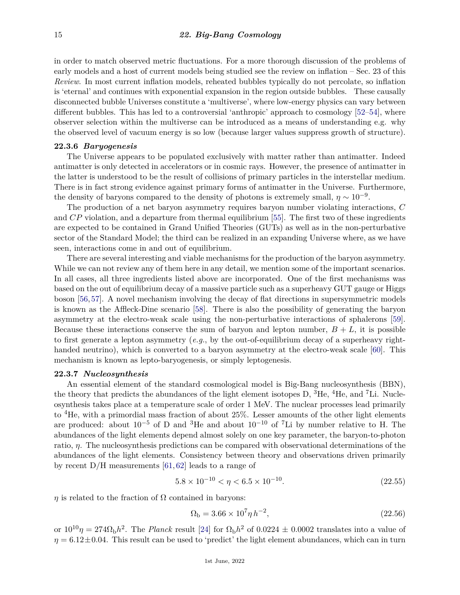in order to match observed metric fluctuations. For a more thorough discussion of the problems of early models and a host of current models being studied see the review on inflation – Sec. 23 of this *Review*. In most current inflation models, reheated bubbles typically do not percolate, so inflation is 'eternal' and continues with exponential expansion in the region outside bubbles. These causally disconnected bubble Universes constitute a 'multiverse', where low-energy physics can vary between different bubbles. This has led to a controversial 'anthropic' approach to cosmology [\[52–](#page-27-6)[54\]](#page-27-7), where observer selection within the multiverse can be introduced as a means of understanding e.g. why the observed level of vacuum energy is so low (because larger values suppress growth of structure).

#### **22.3.6** *Baryogenesis*

The Universe appears to be populated exclusively with matter rather than antimatter. Indeed antimatter is only detected in accelerators or in cosmic rays. However, the presence of antimatter in the latter is understood to be the result of collisions of primary particles in the interstellar medium. There is in fact strong evidence against primary forms of antimatter in the Universe. Furthermore, the density of baryons compared to the density of photons is extremely small,  $\eta \sim 10^{-9}$ .

The production of a net baryon asymmetry requires baryon number violating interactions, *C* and *CP* violation, and a departure from thermal equilibrium [\[55\]](#page-27-8). The first two of these ingredients are expected to be contained in Grand Unified Theories (GUTs) as well as in the non-perturbative sector of the Standard Model; the third can be realized in an expanding Universe where, as we have seen, interactions come in and out of equilibrium.

There are several interesting and viable mechanisms for the production of the baryon asymmetry. While we can not review any of them here in any detail, we mention some of the important scenarios. In all cases, all three ingredients listed above are incorporated. One of the first mechanisms was based on the out of equilibrium decay of a massive particle such as a superheavy GUT gauge or Higgs boson [\[56,](#page-27-9)[57\]](#page-27-10). A novel mechanism involving the decay of flat directions in supersymmetric models is known as the Affleck-Dine scenario [\[58\]](#page-27-11). There is also the possibility of generating the baryon asymmetry at the electro-weak scale using the non-perturbative interactions of sphalerons [\[59\]](#page-27-12). Because these interactions conserve the sum of baryon and lepton number,  $B + L$ , it is possible to first generate a lepton asymmetry (*e.g.*, by the out-of-equilibrium decay of a superheavy right-handed neutrino), which is converted to a baryon asymmetry at the electro-weak scale [\[60\]](#page-27-13). This mechanism is known as lepto-baryogenesis, or simply leptogenesis.

### **22.3.7** *Nucleosynthesis*

An essential element of the standard cosmological model is Big-Bang nucleosynthesis (BBN), the theory that predicts the abundances of the light element isotopes D,  ${}^{3}$ He,  ${}^{4}$ He, and  ${}^{7}$ Li. Nucleosynthesis takes place at a temperature scale of order 1 MeV. The nuclear processes lead primarily to  ${}^{4}$ He, with a primordial mass fraction of about 25%. Lesser amounts of the other light elements are produced: about  $10^{-5}$  of D and <sup>3</sup>He and about  $10^{-10}$  of <sup>7</sup>Li by number relative to H. The abundances of the light elements depend almost solely on one key parameter, the baryon-to-photon ratio, *η*. The nucleosynthesis predictions can be compared with observational determinations of the abundances of the light elements. Consistency between theory and observations driven primarily by recent D/H measurements [\[61,](#page-27-14) [62\]](#page-27-15) leads to a range of

$$
5.8 \times 10^{-10} < \eta < 6.5 \times 10^{-10}.\tag{22.55}
$$

 $\eta$  is related to the fraction of  $\Omega$  contained in baryons:

$$
\Omega_{\rm b} = 3.66 \times 10^7 \eta \, h^{-2},\tag{22.56}
$$

or  $10^{10}\eta = 274\Omega_b h^2$ . The *Planck* result [\[24\]](#page-26-8) for  $\Omega_b h^2$  of 0.0224  $\pm$  0.0002 translates into a value of  $\eta = 6.12 \pm 0.04$ . This result can be used to 'predict' the light element abundances, which can in turn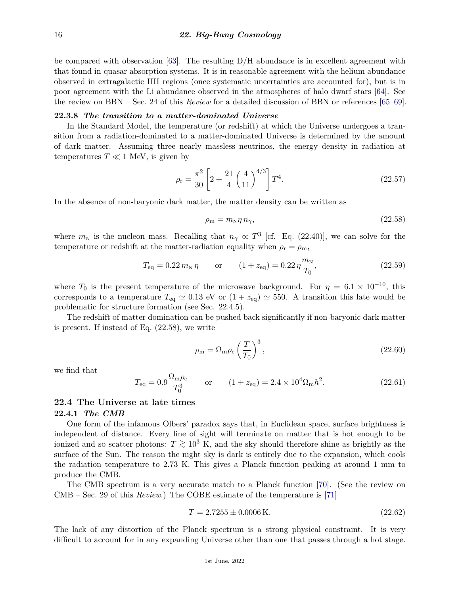be compared with observation  $[63]$ . The resulting D/H abundance is in excellent agreement with that found in quasar absorption systems. It is in reasonable agreement with the helium abundance observed in extragalactic HII regions (once systematic uncertainties are accounted for), but is in poor agreement with the Li abundance observed in the atmospheres of halo dwarf stars [\[64\]](#page-27-17). See the review on BBN – Sec. 24 of this *Review* for a detailed discussion of BBN or references [\[65–](#page-27-18)[69\]](#page-27-19).

# **22.3.8** *The transition to a matter-dominated Universe*

In the Standard Model, the temperature (or redshift) at which the Universe undergoes a transition from a radiation-dominated to a matter-dominated Universe is determined by the amount of dark matter. Assuming three nearly massless neutrinos, the energy density in radiation at temperatures  $T \ll 1$  MeV, is given by

$$
\rho_{\rm r} = \frac{\pi^2}{30} \left[ 2 + \frac{21}{4} \left( \frac{4}{11} \right)^{4/3} \right] T^4. \tag{22.57}
$$

In the absence of non-baryonic dark matter, the matter density can be written as

$$
\rho_{\rm m} = m_{\rm N} \eta \, n_{\gamma},\tag{22.58}
$$

where  $m_N$  is the nucleon mass. Recalling that  $n_\gamma \propto T^3$  [cf. Eq. (22.40)], we can solve for the temperature or redshift at the matter-radiation equality when  $\rho_r = \rho_m$ ,

$$
T_{\text{eq}} = 0.22 \, m_{\text{N}} \, \eta \qquad \text{or} \qquad (1 + z_{\text{eq}}) = 0.22 \, \eta \frac{m_{\text{N}}}{T_0}, \tag{22.59}
$$

where  $T_0$  is the present temperature of the microwave background. For  $\eta = 6.1 \times 10^{-10}$ , this corresponds to a temperature  $T_{eq} \simeq 0.13$  eV or  $(1 + z_{eq}) \simeq 550$ . A transition this late would be problematic for structure formation (see Sec. 22.4.5).

The redshift of matter domination can be pushed back significantly if non-baryonic dark matter is present. If instead of Eq. (22.58), we write

$$
\rho_{\rm m} = \Omega_{\rm m}\rho_{\rm c} \left(\frac{T}{T_0}\right)^3,\tag{22.60}
$$

we find that

$$
T_{\text{eq}} = 0.9 \frac{\Omega_{\text{m}} \rho_{\text{c}}}{T_0^3} \qquad \text{or} \qquad (1 + z_{\text{eq}}) = 2.4 \times 10^4 \Omega_{\text{m}} h^2. \tag{22.61}
$$

# **22.4 The Universe at late times**

#### **22.4.1** *The CMB*

One form of the infamous Olbers' paradox says that, in Euclidean space, surface brightness is independent of distance. Every line of sight will terminate on matter that is hot enough to be ionized and so scatter photons:  $T \gtrsim 10^3$  K, and the sky should therefore shine as brightly as the surface of the Sun. The reason the night sky is dark is entirely due to the expansion, which cools the radiation temperature to 2.73 K. This gives a Planck function peaking at around 1 mm to produce the CMB.

The CMB spectrum is a very accurate match to a Planck function [\[70\]](#page-27-20). (See the review on CMB – Sec. 29 of this *Review*.) The COBE estimate of the temperature is [\[71\]](#page-27-21)

$$
T = 2.7255 \pm 0.0006 \,\mathrm{K}.\tag{22.62}
$$

The lack of any distortion of the Planck spectrum is a strong physical constraint. It is very difficult to account for in any expanding Universe other than one that passes through a hot stage.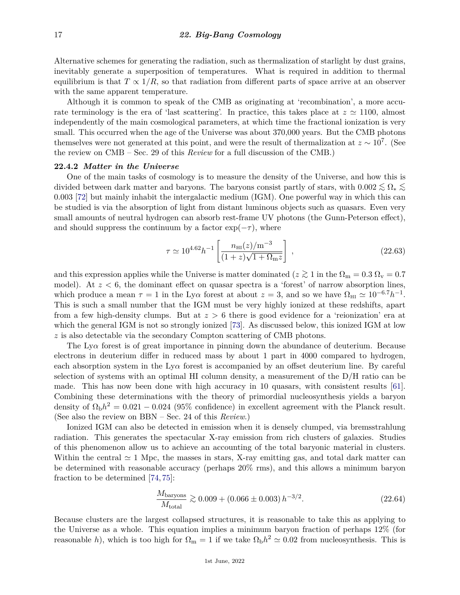Alternative schemes for generating the radiation, such as thermalization of starlight by dust grains, inevitably generate a superposition of temperatures. What is required in addition to thermal equilibrium is that  $T \propto 1/R$ , so that radiation from different parts of space arrive at an observer with the same apparent temperature.

Although it is common to speak of the CMB as originating at 'recombination', a more accurate terminology is the era of 'last scattering'. In practice, this takes place at  $z \approx 1100$ , almost independently of the main cosmological parameters, at which time the fractional ionization is very small. This occurred when the age of the Universe was about 370,000 years. But the CMB photons themselves were not generated at this point, and were the result of thermalization at  $z \sim 10^7$ . (See the review on CMB – Sec. 29 of this *Review* for a full discussion of the CMB.)

#### **22.4.2** *Matter in the Universe*

One of the main tasks of cosmology is to measure the density of the Universe, and how this is divided between dark matter and baryons. The baryons consist partly of stars, with  $0.002 \lesssim \Omega_* \lesssim$ 0*.*003 [\[72\]](#page-27-22) but mainly inhabit the intergalactic medium (IGM). One powerful way in which this can be studied is via the absorption of light from distant luminous objects such as quasars. Even very small amounts of neutral hydrogen can absorb rest-frame UV photons (the Gunn-Peterson effect), and should suppress the continuum by a factor  $\exp(-\tau)$ , where

$$
\tau \simeq 10^{4.62} h^{-1} \left[ \frac{n_{\rm HI}(z)/\rm m^{-3}}{(1+z)\sqrt{1+\Omega_{\rm m}z}} \right] \,, \tag{22.63}
$$

and this expression applies while the Universe is matter dominated ( $z \gtrsim 1$  in the  $\Omega_{\rm m} = 0.3 \Omega_{\rm v} = 0.7$ model). At  $z < 6$ , the dominant effect on quasar spectra is a 'forest' of narrow absorption lines, which produce a mean  $\tau = 1$  in the Ly $\alpha$  forest at about  $z = 3$ , and so we have  $\Omega_{\rm HI} \simeq 10^{-6.7} h^{-1}$ . This is such a small number that the IGM must be very highly ionized at these redshifts, apart from a few high-density clumps. But at *z >* 6 there is good evidence for a 'reionization' era at which the general IGM is not so strongly ionized [\[73\]](#page-27-23). As discussed below, this ionized IGM at low *z* is also detectable via the secondary Compton scattering of CMB photons.

The Ly*α* forest is of great importance in pinning down the abundance of deuterium. Because electrons in deuterium differ in reduced mass by about 1 part in 4000 compared to hydrogen, each absorption system in the  $Ly\alpha$  forest is accompanied by an offset deuterium line. By careful selection of systems with an optimal HI column density, a measurement of the D/H ratio can be made. This has now been done with high accuracy in 10 quasars, with consistent results [\[61\]](#page-27-14). Combining these determinations with the theory of primordial nucleosynthesis yields a baryon density of  $\Omega_{\rm b}h^2 = 0.021 - 0.024$  (95% confidence) in excellent agreement with the Planck result. (See also the review on BBN – Sec. 24 of this *Review*.)

Ionized IGM can also be detected in emission when it is densely clumped, via bremsstrahlung radiation. This generates the spectacular X-ray emission from rich clusters of galaxies. Studies of this phenomenon allow us to achieve an accounting of the total baryonic material in clusters. Within the central  $\simeq$  1 Mpc, the masses in stars, X-ray emitting gas, and total dark matter can be determined with reasonable accuracy (perhaps 20% rms), and this allows a minimum baryon fraction to be determined [\[74,](#page-27-24) [75\]](#page-27-25):

$$
\frac{M_{\text{baryons}}}{M_{\text{total}}} \gtrsim 0.009 + (0.066 \pm 0.003) h^{-3/2}.
$$
\n(22.64)

Because clusters are the largest collapsed structures, it is reasonable to take this as applying to the Universe as a whole. This equation implies a minimum baryon fraction of perhaps 12% (for reasonable *h*), which is too high for  $\Omega_{\rm m} = 1$  if we take  $\Omega_{\rm b} h^2 \simeq 0.02$  from nucleosynthesis. This is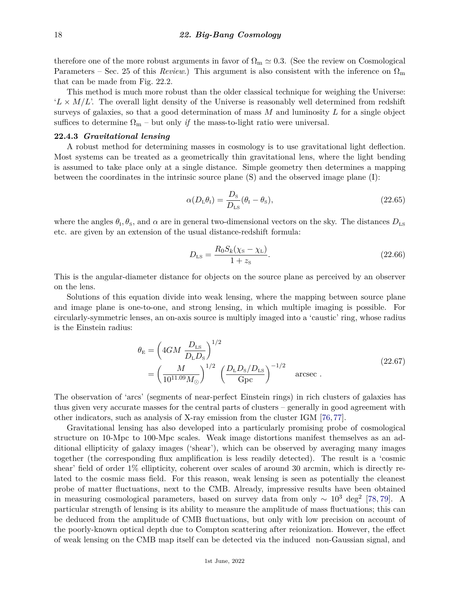therefore one of the more robust arguments in favor of  $\Omega_{\rm m} \simeq 0.3$ . (See the review on Cosmological Parameters – Sec. 25 of this *Review*.) This argument is also consistent with the inference on  $\Omega_{\rm m}$ that can be made from Fig. 22.2.

This method is much more robust than the older classical technique for weighing the Universe:  $'L \times M/L$ . The overall light density of the Universe is reasonably well determined from redshift surveys of galaxies, so that a good determination of mass *M* and luminosity *L* for a single object suffices to determine  $\Omega_{\rm m}$  – but only *if* the mass-to-light ratio were universal.

# **22.4.3** *Gravitational lensing*

A robust method for determining masses in cosmology is to use gravitational light deflection. Most systems can be treated as a geometrically thin gravitational lens, where the light bending is assumed to take place only at a single distance. Simple geometry then determines a mapping between the coordinates in the intrinsic source plane (S) and the observed image plane (I):

$$
\alpha(D_{\rm L}\theta_{\rm I}) = \frac{D_{\rm s}}{D_{\rm LS}}(\theta_{\rm I} - \theta_{\rm s}),\tag{22.65}
$$

where the angles  $\theta_{\rm I}, \theta_{\rm S}$ , and  $\alpha$  are in general two-dimensional vectors on the sky. The distances  $D_{\rm LS}$ etc. are given by an extension of the usual distance-redshift formula:

$$
D_{LS} = \frac{R_0 S_k (\chi_{\rm S} - \chi_{\rm L})}{1 + z_{\rm S}}.
$$
\n(22.66)

This is the angular-diameter distance for objects on the source plane as perceived by an observer on the lens.

Solutions of this equation divide into weak lensing, where the mapping between source plane and image plane is one-to-one, and strong lensing, in which multiple imaging is possible. For circularly-symmetric lenses, an on-axis source is multiply imaged into a 'caustic' ring, whose radius is the Einstein radius:

$$
\theta_{\rm E} = \left(4GM \frac{D_{\rm LS}}{D_{\rm L}D_{\rm S}}\right)^{1/2} \n= \left(\frac{M}{10^{11.09}M_{\odot}}\right)^{1/2} \left(\frac{D_{\rm L}D_{\rm S}/D_{\rm LS}}{\rm Gpc}\right)^{-1/2} \quad \text{arcsec}.
$$
\n(22.67)

The observation of 'arcs' (segments of near-perfect Einstein rings) in rich clusters of galaxies has thus given very accurate masses for the central parts of clusters – generally in good agreement with other indicators, such as analysis of X-ray emission from the cluster IGM [\[76,](#page-27-26) [77\]](#page-28-0).

Gravitational lensing has also developed into a particularly promising probe of cosmological structure on 10-Mpc to 100-Mpc scales. Weak image distortions manifest themselves as an additional ellipticity of galaxy images ('shear'), which can be observed by averaging many images together (the corresponding flux amplification is less readily detected). The result is a 'cosmic shear' field of order 1% ellipticity, coherent over scales of around 30 arcmin, which is directly related to the cosmic mass field. For this reason, weak lensing is seen as potentially the cleanest probe of matter fluctuations, next to the CMB. Already, impressive results have been obtained in measuring cosmological parameters, based on survey data from only  $\sim 10^3$  deg<sup>2</sup> [\[78,](#page-28-1) [79\]](#page-28-2). A particular strength of lensing is its ability to measure the amplitude of mass fluctuations; this can be deduced from the amplitude of CMB fluctuations, but only with low precision on account of the poorly-known optical depth due to Compton scattering after reionization. However, the effect of weak lensing on the CMB map itself can be detected via the induced non-Gaussian signal, and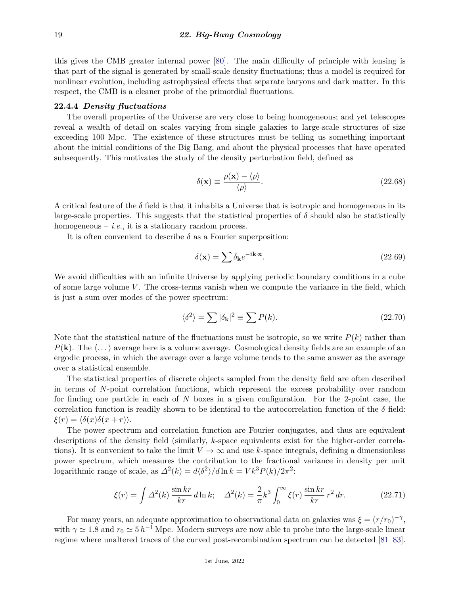this gives the CMB greater internal power [\[80\]](#page-28-3). The main difficulty of principle with lensing is that part of the signal is generated by small-scale density fluctuations; thus a model is required for nonlinear evolution, including astrophysical effects that separate baryons and dark matter. In this respect, the CMB is a cleaner probe of the primordial fluctuations.

### **22.4.4** *Density fluctuations*

The overall properties of the Universe are very close to being homogeneous; and yet telescopes reveal a wealth of detail on scales varying from single galaxies to large-scale structures of size exceeding 100 Mpc. The existence of these structures must be telling us something important about the initial conditions of the Big Bang, and about the physical processes that have operated subsequently. This motivates the study of the density perturbation field, defined as

$$
\delta(\mathbf{x}) \equiv \frac{\rho(\mathbf{x}) - \langle \rho \rangle}{\langle \rho \rangle}.
$$
\n(22.68)

A critical feature of the  $\delta$  field is that it inhabits a Universe that is isotropic and homogeneous in its large-scale properties. This suggests that the statistical properties of  $\delta$  should also be statistically homogeneous  $-$  *i.e.*, it is a stationary random process.

It is often convenient to describe  $\delta$  as a Fourier superposition:

$$
\delta(\mathbf{x}) = \sum \delta_{\mathbf{k}} e^{-i\mathbf{k}\cdot\mathbf{x}}.\tag{22.69}
$$

We avoid difficulties with an infinite Universe by applying periodic boundary conditions in a cube of some large volume *V*. The cross-terms vanish when we compute the variance in the field, which is just a sum over modes of the power spectrum:

$$
\langle \delta^2 \rangle = \sum |\delta_{\mathbf{k}}|^2 \equiv \sum P(k). \tag{22.70}
$$

Note that the statistical nature of the fluctuations must be isotropic, so we write  $P(k)$  rather than  $P(\mathbf{k})$ . The  $\langle \ldots \rangle$  average here is a volume average. Cosmological density fields are an example of an ergodic process, in which the average over a large volume tends to the same answer as the average over a statistical ensemble.

The statistical properties of discrete objects sampled from the density field are often described in terms of *N*-point correlation functions, which represent the excess probability over random for finding one particle in each of *N* boxes in a given configuration. For the 2-point case, the correlation function is readily shown to be identical to the autocorrelation function of the  $\delta$  field:  $\xi(r) = \langle \delta(x) \delta(x+r) \rangle$ .

The power spectrum and correlation function are Fourier conjugates, and thus are equivalent descriptions of the density field (similarly, *k*-space equivalents exist for the higher-order correlations). It is convenient to take the limit  $V \to \infty$  and use *k*-space integrals, defining a dimensionless power spectrum, which measures the contribution to the fractional variance in density per unit logarithmic range of scale, as  $\Delta^2(k) = d\langle \delta^2 \rangle / d \ln k = V k^3 P(k) / 2\pi^2$ :

$$
\xi(r) = \int \Delta^2(k) \frac{\sin kr}{kr} \, d\ln k; \quad \Delta^2(k) = \frac{2}{\pi} k^3 \int_0^\infty \xi(r) \, \frac{\sin kr}{kr} \, r^2 \, dr. \tag{22.71}
$$

For many years, an adequate approximation to observational data on galaxies was  $\xi = (r/r_0)^{-\gamma}$ , with  $\gamma \simeq 1.8$  and  $r_0 \simeq 5 h^{-1}$  Mpc. Modern surveys are now able to probe into the large-scale linear regime where unaltered traces of the curved post-recombination spectrum can be detected [\[81–](#page-28-4)[83\]](#page-28-5).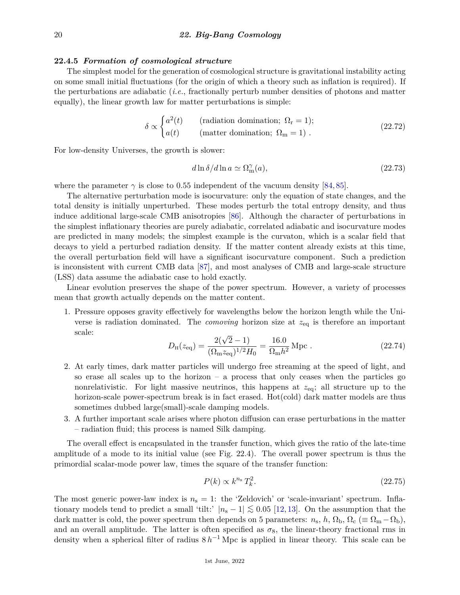#### **22.4.5** *Formation of cosmological structure*

The simplest model for the generation of cosmological structure is gravitational instability acting on some small initial fluctuations (for the origin of which a theory such as inflation is required). If the perturbations are adiabatic (*i.e.*, fractionally perturb number densities of photons and matter equally), the linear growth law for matter perturbations is simple:

$$
\delta \propto \begin{cases}\na^2(t) & \text{(radiation domination; } \Omega_{\rm r} = 1); \\
a(t) & \text{(matter domination; } \Omega_{\rm m} = 1).\n\end{cases}
$$
\n(22.72)

For low-density Universes, the growth is slower:

$$
d\ln \delta/d\ln a \simeq \Omega_{\rm m}^{\gamma}(a),\tag{22.73}
$$

where the parameter  $\gamma$  is close to 0.55 independent of the vacuum density [\[84,](#page-28-6) [85\]](#page-28-7).

The alternative perturbation mode is isocurvature: only the equation of state changes, and the total density is initially unperturbed. These modes perturb the total entropy density, and thus induce additional large-scale CMB anisotropies [\[86\]](#page-28-8). Although the character of perturbations in the simplest inflationary theories are purely adiabatic, correlated adiabatic and isocurvature modes are predicted in many models; the simplest example is the curvaton, which is a scalar field that decays to yield a perturbed radiation density. If the matter content already exists at this time, the overall perturbation field will have a significant isocurvature component. Such a prediction is inconsistent with current CMB data [\[87\]](#page-28-9), and most analyses of CMB and large-scale structure (LSS) data assume the adiabatic case to hold exactly.

Linear evolution preserves the shape of the power spectrum. However, a variety of processes mean that growth actually depends on the matter content.

1. Pressure opposes gravity effectively for wavelengths below the horizon length while the Universe is radiation dominated. The *comoving* horizon size at *z*eq is therefore an important scale:

$$
D_{\rm H}(z_{\rm eq}) = \frac{2(\sqrt{2}-1)}{(\Omega_{\rm m} z_{\rm eq})^{1/2} H_0} = \frac{16.0}{\Omega_{\rm m} h^2} \,\text{Mpc} \,.
$$
 (22.74)

- 2. At early times, dark matter particles will undergo free streaming at the speed of light, and so erase all scales up to the horizon – a process that only ceases when the particles go nonrelativistic. For light massive neutrinos, this happens at *z*eq; all structure up to the horizon-scale power-spectrum break is in fact erased. Hot(cold) dark matter models are thus sometimes dubbed large(small)-scale damping models.
- 3. A further important scale arises where photon diffusion can erase perturbations in the matter – radiation fluid; this process is named Silk damping.

The overall effect is encapsulated in the transfer function, which gives the ratio of the late-time amplitude of a mode to its initial value (see Fig. 22.4). The overall power spectrum is thus the primordial scalar-mode power law, times the square of the transfer function:

$$
P(k) \propto k^{n_s} T_k^2. \tag{22.75}
$$

The most generic power-law index is  $n_s = 1$ : the 'Zeldovich' or 'scale-invariant' spectrum. Inflationary models tend to predict a small 'tilt:'  $|n_{s} - 1| \lesssim 0.05$  [\[12,](#page-26-24) [13\]](#page-26-25). On the assumption that the dark matter is cold, the power spectrum then depends on 5 parameters:  $n_s$ ,  $h$ ,  $\Omega_b$ ,  $\Omega_c$  ( $\equiv \Omega_m - \Omega_b$ ), and an overall amplitude. The latter is often specified as  $\sigma_8$ , the linear-theory fractional rms in density when a spherical filter of radius  $8 h^{-1}$  Mpc is applied in linear theory. This scale can be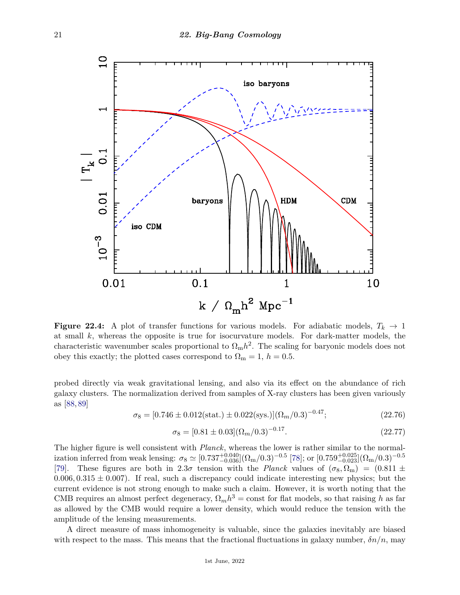

**Figure 22.4:** A plot of transfer functions for various models. For adiabatic models,  $T_k \rightarrow 1$ at small *k*, whereas the opposite is true for isocurvature models. For dark-matter models, the characteristic wavenumber scales proportional to  $\Omega_{\rm m}h^2$ . The scaling for baryonic models does not obey this exactly; the plotted cases correspond to  $\Omega_{\rm m} = 1, h = 0.5$ .

probed directly via weak gravitational lensing, and also via its effect on the abundance of rich galaxy clusters. The normalization derived from samples of X-ray clusters has been given variously as [\[88,](#page-28-10) [89\]](#page-28-11)

$$
\sigma_8 = [0.746 \pm 0.012(\text{stat.}) \pm 0.022(\text{sys.})](\Omega_m/0.3)^{-0.47};\tag{22.76}
$$

$$
\sigma_8 = [0.81 \pm 0.03](\Omega_m/0.3)^{-0.17}.
$$
\n(22.77)

The higher figure is well consistent with *Planck*, whereas the lower is rather similar to the normal- $\sigma$  ization inferred from weak lensing:  $\sigma_8 \simeq [0.737^{+0.040}_{-0.036}](\Omega_m/0.3)^{-0.5}$  [\[78\]](#page-28-1); or  $[0.759^{+0.025}_{-0.023}](\Omega_m/0.3)^{-0.5}$ [\[79\]](#page-28-2). These figures are both in 2.3*σ* tension with the *Planck* values of  $(\sigma_8, \Omega_m) = (0.811 \pm 0.0000)$  $0.006, 0.315 \pm 0.007$ . If real, such a discrepancy could indicate interesting new physics; but the current evidence is not strong enough to make such a claim. However, it is worth noting that the CMB requires an almost perfect degeneracy,  $\Omega_m h^3 = \text{const}$  for flat models, so that raising *h* as far as allowed by the CMB would require a lower density, which would reduce the tension with the amplitude of the lensing measurements.

A direct measure of mass inhomogeneity is valuable, since the galaxies inevitably are biased with respect to the mass. This means that the fractional fluctuations in galaxy number,  $\delta n/n$ , may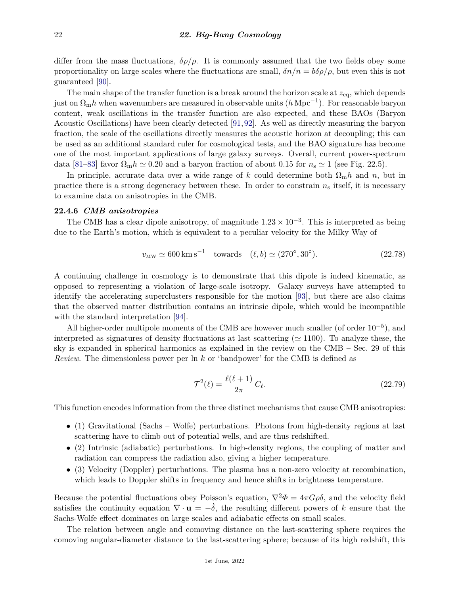differ from the mass fluctuations,  $\delta \rho / \rho$ . It is commonly assumed that the two fields obey some proportionality on large scales where the fluctuations are small,  $\delta n/n = b\delta\rho/\rho$ , but even this is not guaranteed [\[90\]](#page-28-12).

The main shape of the transfer function is a break around the horizon scale at *z*eq, which depends just on Ωm*h* when wavenumbers are measured in observable units (*h* Mpc−<sup>1</sup> ). For reasonable baryon content, weak oscillations in the transfer function are also expected, and these BAOs (Baryon Acoustic Oscillations) have been clearly detected [\[91,](#page-28-13)[92\]](#page-28-14). As well as directly measuring the baryon fraction, the scale of the oscillations directly measures the acoustic horizon at decoupling; this can be used as an additional standard ruler for cosmological tests, and the BAO signature has become one of the most important applications of large galaxy surveys. Overall, current power-spectrum data [\[81–](#page-28-4)[83\]](#page-28-5) favor  $\Omega_{\rm m}h \simeq 0.20$  and a baryon fraction of about 0.15 for  $n_{\rm s} \simeq 1$  (see Fig. 22.5).

In principle, accurate data over a wide range of k could determine both  $\Omega_{\rm m}h$  and n, but in practice there is a strong degeneracy between these. In order to constrain *n*<sup>s</sup> itself, it is necessary to examine data on anisotropies in the CMB.

#### **22.4.6** *CMB anisotropies*

The CMB has a clear dipole anisotropy, of magnitude  $1.23 \times 10^{-3}$ . This is interpreted as being due to the Earth's motion, which is equivalent to a peculiar velocity for the Milky Way of

$$
v_{\rm MW} \simeq 600 \,\rm km\,s^{-1} \quad towards \quad (\ell, b) \simeq (270^{\circ}, 30^{\circ}). \tag{22.78}
$$

A continuing challenge in cosmology is to demonstrate that this dipole is indeed kinematic, as opposed to representing a violation of large-scale isotropy. Galaxy surveys have attempted to identify the accelerating superclusters responsible for the motion [\[93\]](#page-28-15), but there are also claims that the observed matter distribution contains an intrinsic dipole, which would be incompatible with the standard interpretation [\[94\]](#page-28-16).

All higher-order multipole moments of the CMB are however much smaller (of order  $10^{-5}$ ), and interpreted as signatures of density fluctuations at last scattering ( $\simeq$  1100). To analyze these, the sky is expanded in spherical harmonics as explained in the review on the CMB – Sec. 29 of this *Review*. The dimensionless power per ln *k* or 'bandpower' for the CMB is defined as

$$
\mathcal{T}^2(\ell) = \frac{\ell(\ell+1)}{2\pi} C_{\ell}.\tag{22.79}
$$

This function encodes information from the three distinct mechanisms that cause CMB anisotropies:

- (1) Gravitational (Sachs Wolfe) perturbations. Photons from high-density regions at last scattering have to climb out of potential wells, and are thus redshifted.
- (2) Intrinsic (adiabatic) perturbations. In high-density regions, the coupling of matter and radiation can compress the radiation also, giving a higher temperature.
- (3) Velocity (Doppler) perturbations. The plasma has a non-zero velocity at recombination, which leads to Doppler shifts in frequency and hence shifts in brightness temperature.

Because the potential fluctuations obey Poisson's equation,  $\nabla^2 \Phi = 4\pi G \rho \delta$ , and the velocity field satisfies the continuity equation  $\nabla \cdot \mathbf{u} = -\dot{\delta}$ , the resulting different powers of *k* ensure that the Sachs-Wolfe effect dominates on large scales and adiabatic effects on small scales.

The relation between angle and comoving distance on the last-scattering sphere requires the comoving angular-diameter distance to the last-scattering sphere; because of its high redshift, this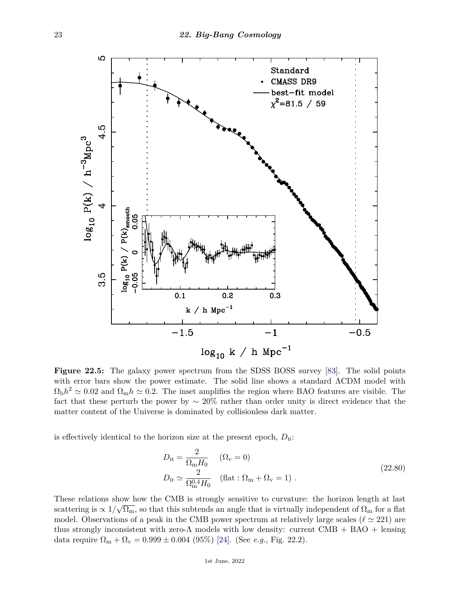

**Figure 22.5:** The galaxy power spectrum from the SDSS BOSS survey [\[83\]](#page-28-5). The solid points with error bars show the power estimate. The solid line shows a standard ΛCDM model with  $\Omega_{\rm b}h^2 \simeq 0.02$  and  $\Omega_{\rm m}h \simeq 0.2$ . The inset amplifies the region where BAO features are visible. The fact that these perturb the power by  $\sim 20\%$  rather than order unity is direct evidence that the matter content of the Universe is dominated by collisionless dark matter.

is effectively identical to the horizon size at the present epoch,  $D_{\rm H}$ :

$$
D_{\rm H} = \frac{2}{\Omega_{\rm m} H_0} \quad (\Omega_{\rm v} = 0)
$$
  
\n
$$
D_{\rm H} \simeq \frac{2}{\Omega_{\rm m}^{0.4} H_0} \quad (\text{flat}: \Omega_{\rm m} + \Omega_{\rm v} = 1) \ .
$$
\n(22.80)

These relations show how the CMB is strongly sensitive to curvature: the horizon length at last scattering is  $\propto 1/\sqrt{\Omega_{\rm m}}$ , so that this subtends an angle that is virtually independent of  $\Omega_{\rm m}$  for a flat model. Observations of a peak in the CMB power spectrum at relatively large scales ( $\ell \approx 221$ ) are thus strongly inconsistent with zero- $\Lambda$  models with low density: current CMB + BAO + lensing data require  $\Omega_{\rm m} + \Omega_{\rm v} = 0.999 \pm 0.004$  (95%) [\[24\]](#page-26-8). (See *e.g.*, Fig. 22.2).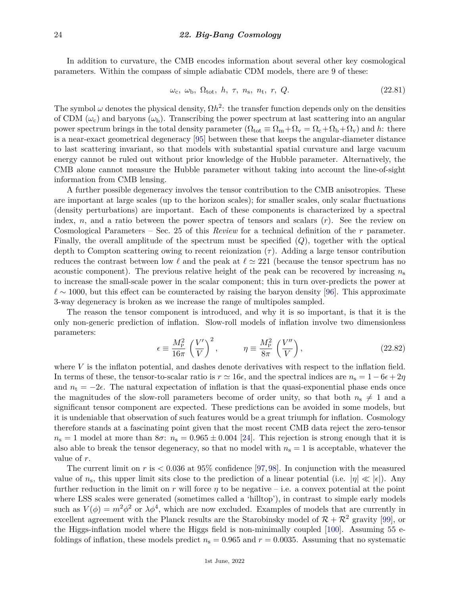In addition to curvature, the CMB encodes information about several other key cosmological parameters. Within the compass of simple adiabatic CDM models, there are 9 of these:

$$
\omega_{\rm c}, \omega_{\rm b}, \Omega_{\rm tot}, \ h, \ \tau, \ n_{\rm s}, \ n_{\rm t}, \ r, \ Q. \tag{22.81}
$$

The symbol  $\omega$  denotes the physical density,  $\Omega h^2$ : the transfer function depends only on the densities of CDM  $(\omega_c)$  and baryons  $(\omega_b)$ . Transcribing the power spectrum at last scattering into an angular power spectrum brings in the total density parameter  $(\Omega_{\text{tot}} \equiv \Omega_{\text{m}} + \Omega_{\text{v}} = \Omega_{\text{c}} + \Omega_{\text{b}} + \Omega_{\text{v}})$  and *h*: there is a near-exact geometrical degeneracy [\[95\]](#page-28-17) between these that keeps the angular-diameter distance to last scattering invariant, so that models with substantial spatial curvature and large vacuum energy cannot be ruled out without prior knowledge of the Hubble parameter. Alternatively, the CMB alone cannot measure the Hubble parameter without taking into account the line-of-sight information from CMB lensing.

A further possible degeneracy involves the tensor contribution to the CMB anisotropies. These are important at large scales (up to the horizon scales); for smaller scales, only scalar fluctuations (density perturbations) are important. Each of these components is characterized by a spectral index, *n*, and a ratio between the power spectra of tensors and scalars (*r*). See the review on Cosmological Parameters – Sec. 25 of this *Review* for a technical definition of the *r* parameter. Finally, the overall amplitude of the spectrum must be specified (*Q*), together with the optical depth to Compton scattering owing to recent reionization  $(\tau)$ . Adding a large tensor contribution reduces the contrast between low  $\ell$  and the peak at  $\ell \simeq 221$  (because the tensor spectrum has no acoustic component). The previous relative height of the peak can be recovered by increasing  $n_s$ to increase the small-scale power in the scalar component; this in turn over-predicts the power at  $\ell \sim 1000$ , but this effect can be counteracted by raising the baryon density [\[96\]](#page-28-18). This approximate 3-way degeneracy is broken as we increase the range of multipoles sampled.

The reason the tensor component is introduced, and why it is so important, is that it is the only non-generic prediction of inflation. Slow-roll models of inflation involve two dimensionless parameters:

$$
\epsilon \equiv \frac{M_{\rm P}^2}{16\pi} \left(\frac{V'}{V}\right)^2, \qquad \eta \equiv \frac{M_{\rm P}^2}{8\pi} \left(\frac{V''}{V}\right), \qquad (22.82)
$$

where *V* is the inflaton potential, and dashes denote derivatives with respect to the inflation field. In terms of these, the tensor-to-scalar ratio is  $r \approx 16\epsilon$ , and the spectral indices are  $n_s = 1 - 6\epsilon + 2\eta$ and  $n_t = -2\epsilon$ . The natural expectation of inflation is that the quasi-exponential phase ends once the magnitudes of the slow-roll parameters become of order unity, so that both  $n_s \neq 1$  and a significant tensor component are expected. These predictions can be avoided in some models, but it is undeniable that observation of such features would be a great triumph for inflation. Cosmology therefore stands at a fascinating point given that the most recent CMB data reject the zero-tensor  $n_s = 1$  model at more than  $8\sigma$ :  $n_s = 0.965 \pm 0.004$  [\[24\]](#page-26-8). This rejection is strong enough that it is also able to break the tensor degeneracy, so that no model with  $n<sub>s</sub> = 1$  is acceptable, whatever the value of *r*.

The current limit on *r* is *<* 0*.*036 at 95% confidence [\[97,](#page-28-19)[98\]](#page-28-20). In conjunction with the measured value of  $n_s$ , this upper limit sits close to the prediction of a linear potential (i.e.  $|\eta| \ll |\epsilon|$ ). Any further reduction in the limit on *r* will force *η* to be negative – i.e. a convex potential at the point where LSS scales were generated (sometimes called a 'hilltop'), in contrast to simple early models such as  $V(\phi) = m^2 \phi^2$  or  $\lambda \phi^4$ , which are now excluded. Examples of models that are currently in excellent agreement with the Planck results are the Starobinsky model of  $\mathcal{R} + \mathcal{R}^2$  gravity [\[99\]](#page-28-21), or the Higgs-inflation model where the Higgs field is non-minimally coupled [\[100\]](#page-28-22). Assuming 55 efoldings of inflation, these models predict  $n_s = 0.965$  and  $r = 0.0035$ . Assuming that no systematic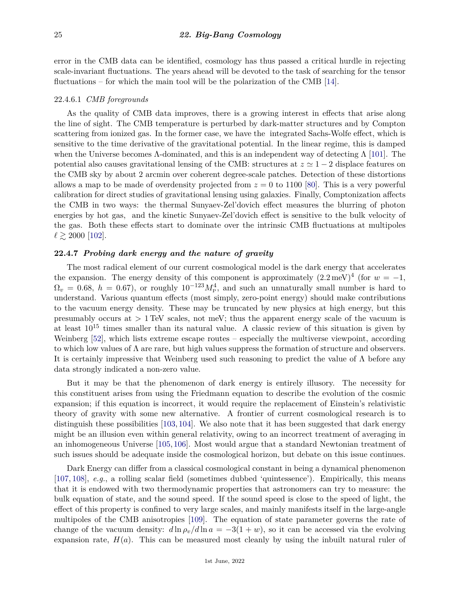error in the CMB data can be identified, cosmology has thus passed a critical hurdle in rejecting scale-invariant fluctuations. The years ahead will be devoted to the task of searching for the tensor fluctuations – for which the main tool will be the polarization of the CMB [\[14\]](#page-26-26).

# 22.4.6.1 *CMB foregrounds*

As the quality of CMB data improves, there is a growing interest in effects that arise along the line of sight. The CMB temperature is perturbed by dark-matter structures and by Compton scattering from ionized gas. In the former case, we have the integrated Sachs-Wolfe effect, which is sensitive to the time derivative of the gravitational potential. In the linear regime, this is damped when the Universe becomes  $\Lambda$ -dominated, and this is an independent way of detecting  $\Lambda$  [\[101\]](#page-28-23). The potential also causes gravitational lensing of the CMB: structures at  $z \approx 1 - 2$  displace features on the CMB sky by about 2 arcmin over coherent degree-scale patches. Detection of these distortions allows a map to be made of overdensity projected from  $z = 0$  to 1100 [\[80\]](#page-28-3). This is a very powerful calibration for direct studies of gravitational lensing using galaxies. Finally, Comptonization affects the CMB in two ways: the thermal Sunyaev-Zel'dovich effect measures the blurring of photon energies by hot gas, and the kinetic Sunyaev-Zel'dovich effect is sensitive to the bulk velocity of the gas. Both these effects start to dominate over the intrinsic CMB fluctuations at multipoles  $\ell \gtrsim 2000$  [\[102\]](#page-28-24).

# **22.4.7** *Probing dark energy and the nature of gravity*

The most radical element of our current cosmological model is the dark energy that accelerates the expansion. The energy density of this component is approximately  $(2.2 \text{ meV})^4$  (for  $w = -1$ ,  $\Omega_v = 0.68, h = 0.67$ , or roughly  $10^{-123} M_{\rm Pl}^4$ , and such an unnaturally small number is hard to understand. Various quantum effects (most simply, zero-point energy) should make contributions to the vacuum energy density. These may be truncated by new physics at high energy, but this presumably occurs at *>* 1 TeV scales, not meV; thus the apparent energy scale of the vacuum is at least  $10^{15}$  times smaller than its natural value. A classic review of this situation is given by Weinberg [\[52\]](#page-27-6), which lists extreme escape routes – especially the multiverse viewpoint, according to which low values of  $\Lambda$  are rare, but high values suppress the formation of structure and observers. It is certainly impressive that Weinberg used such reasoning to predict the value of  $\Lambda$  before any data strongly indicated a non-zero value.

But it may be that the phenomenon of dark energy is entirely illusory. The necessity for this constituent arises from using the Friedmann equation to describe the evolution of the cosmic expansion; if this equation is incorrect, it would require the replacement of Einstein's relativistic theory of gravity with some new alternative. A frontier of current cosmological research is to distinguish these possibilities [\[103,](#page-28-25) [104\]](#page-28-26). We also note that it has been suggested that dark energy might be an illusion even within general relativity, owing to an incorrect treatment of averaging in an inhomogeneous Universe [\[105,](#page-28-27) [106\]](#page-28-28). Most would argue that a standard Newtonian treatment of such issues should be adequate inside the cosmological horizon, but debate on this issue continues.

Dark Energy can differ from a classical cosmological constant in being a dynamical phenomenon [\[107,](#page-28-29) [108\]](#page-28-30), *e.g.*, a rolling scalar field (sometimes dubbed 'quintessence'). Empirically, this means that it is endowed with two thermodynamic properties that astronomers can try to measure: the bulk equation of state, and the sound speed. If the sound speed is close to the speed of light, the effect of this property is confined to very large scales, and mainly manifests itself in the large-angle multipoles of the CMB anisotropies [\[109\]](#page-28-31). The equation of state parameter governs the rate of change of the vacuum density:  $d \ln \rho_v / d \ln a = -3(1+w)$ , so it can be accessed via the evolving expansion rate,  $H(a)$ . This can be measured most cleanly by using the inbuilt natural ruler of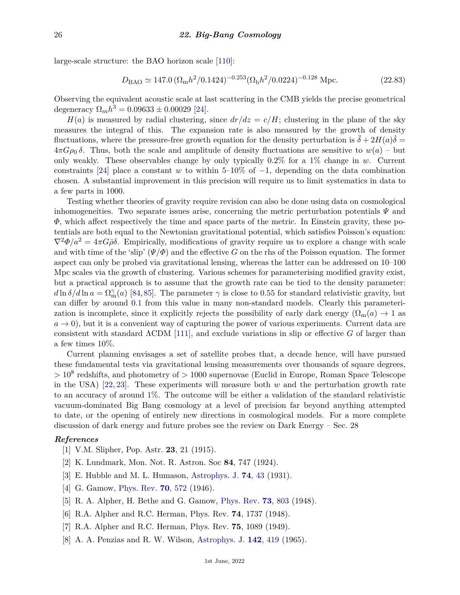large-scale structure: the BAO horizon scale [\[110\]](#page-28-32):

$$
D_{\rm BAO} \simeq 147.0 \left(\Omega_{\rm m} h^2 / 0.1424\right)^{-0.253} \left(\Omega_{\rm b} h^2 / 0.0224\right)^{-0.128} \,\mathrm{Mpc}.\tag{22.83}
$$

Observing the equivalent acoustic scale at last scattering in the CMB yields the precise geometrical degeneracy  $\Omega_m h^3 = 0.09633 \pm 0.00029$  [\[24\]](#page-26-8).

 $H(a)$  is measured by radial clustering, since  $dr/dz = c/H$ ; clustering in the plane of the sky measures the integral of this. The expansion rate is also measured by the growth of density fluctuations, where the pressure-free growth equation for the density perturbation is  $\ddot{\delta} + 2H(a)\dot{\delta} =$  $4\pi G\rho_0 \delta$ . Thus, both the scale and amplitude of density fluctuations are sensitive to  $w(a)$  – but only weakly. These observables change by only typically 0.2% for a 1% change in *w*. Current constraints [\[24\]](#page-26-8) place a constant *w* to within 5–10% of  $-1$ , depending on the data combination chosen. A substantial improvement in this precision will require us to limit systematics in data to a few parts in 1000.

Testing whether theories of gravity require revision can also be done using data on cosmological inhomogeneities. Two separate issues arise, concerning the metric perturbation potentials  $\Psi$  and *Φ*, which affect respectively the time and space parts of the metric. In Einstein gravity, these potentials are both equal to the Newtonian gravitational potential, which satisfies Poisson's equation:  $\nabla^2 \Phi/a^2 = 4\pi G \bar{\rho} \delta$ . Empirically, modifications of gravity require us to explore a change with scale and with time of the 'slip'  $(\Psi/\Phi)$  and the effective *G* on the rhs of the Poisson equation. The former aspect can only be probed via gravitational lensing, whereas the latter can be addressed on 10–100 Mpc scales via the growth of clustering. Various schemes for parameterising modified gravity exist, but a practical approach is to assume that the growth rate can be tied to the density parameter:  $d\ln\delta/d\ln a = \Omega_{\rm m}^{\gamma}(a)$  [\[84,](#page-28-6)[85\]](#page-28-7). The parameter  $\gamma$  is close to 0.55 for standard relativistic gravity, but can differ by around 0.1 from this value in many non-standard models. Clearly this parameterization is incomplete, since it explicitly rejects the possibility of early dark energy  $(\Omega_m(a) \to 1$  as  $a \rightarrow 0$ ), but it is a convenient way of capturing the power of various experiments. Current data are consistent with standard ΛCDM [\[111\]](#page-28-33), and exclude variations in slip or effective *G* of larger than a few times 10%.

Current planning envisages a set of satellite probes that, a decade hence, will have pursued these fundamental tests via gravitational lensing measurements over thousands of square degrees, *>* 10<sup>8</sup> redshifts, and photometry of *>* 1000 supernovae (Euclid in Europe, Roman Space Telescope in the USA) [\[22,](#page-26-6) [23\]](#page-26-7). These experiments will measure both *w* and the perturbation growth rate to an accuracy of around 1%. The outcome will be either a validation of the standard relativistic vacuum-dominated Big Bang cosmology at a level of precision far beyond anything attempted to date, or the opening of entirely new directions in cosmological models. For a more complete discussion of dark energy and future probes see the review on Dark Energy – Sec. 28

#### <span id="page-25-0"></span>*References*

- [1] V.M. Slipher, Pop. Astr. **23**, 21 (1915).
- [2] K. Lundmark, Mon. Not. R. Astron. Soc **84**, 747 (1924).
- <span id="page-25-1"></span>[3] E. Hubble and M. L. Humason, [Astrophys. J.](http://doi.org/10.1086/143323) **74**[, 43](http://doi.org/10.1086/143323) (1931).
- <span id="page-25-2"></span>[4] G. Gamow, [Phys. Rev.](http://doi.org/10.1103/PhysRev7.0.572) **70**[, 572](http://doi.org/10.1103/PhysRev7.0.572) (1946).
- <span id="page-25-4"></span><span id="page-25-3"></span>[5] R. A. Alpher, H. Bethe and G. Gamow, [Phys. Rev.](http://doi.org/10.1103/PhysRev.73.803) **73**[, 803](http://doi.org/10.1103/PhysRev.73.803) (1948).
- [6] R.A. Alpher and R.C. Herman, Phys. Rev. **74**, 1737 (1948).
- <span id="page-25-6"></span><span id="page-25-5"></span>[7] R.A. Alpher and R.C. Herman, Phys. Rev. **75**, 1089 (1949).
- [8] A. A. Penzias and R. W. Wilson, [Astrophys. J.](http://doi.org/10.1086/148307) **142**[, 419](http://doi.org/10.1086/148307) (1965).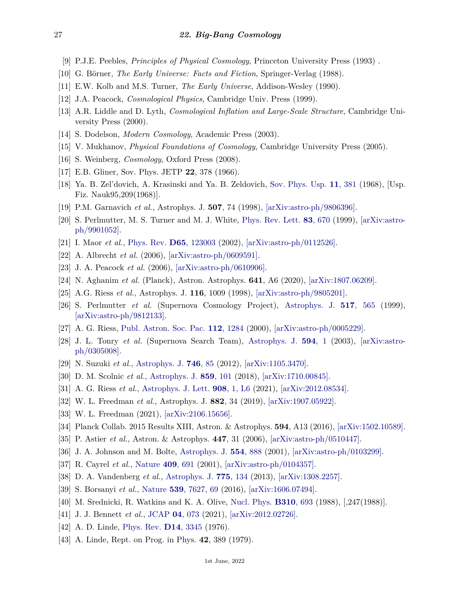- <span id="page-26-0"></span>[9] P.J.E. Peebles, *Principles of Physical Cosmology*, Princeton University Press (1993) .
- [10] G. Börner, *The Early Universe: Facts and Fiction*, Springer-Verlag (1988).
- [11] E.W. Kolb and M.S. Turner, *The Early Universe*, Addison-Wesley (1990).
- <span id="page-26-24"></span>[12] J.A. Peacock, *Cosmological Physics*, Cambridge Univ. Press (1999).
- <span id="page-26-25"></span>[13] A.R. Liddle and D. Lyth, *Cosmological Inflation and Large-Scale Structure*, Cambridge University Press (2000).
- <span id="page-26-26"></span>[14] S. Dodelson, *Modern Cosmology*, Academic Press (2003).
- [15] V. Mukhanov, *Physical Foundations of Cosmology*, Cambridge University Press (2005).
- <span id="page-26-1"></span>[16] S. Weinberg, *Cosmology*, Oxford Press (2008).
- <span id="page-26-2"></span>[17] E.B. Gliner, Sov. Phys. JETP **22**, 378 (1966).
- <span id="page-26-3"></span>[18] Ya. B. Zel'dovich, A. Krasinski and Ya. B. Zeldovich, [Sov. Phys. Usp.](http://doi.org/10.1007/s10714-008-0624-6) **11**[, 381](http://doi.org/10.1007/s10714-008-0624-6) (1968), [Usp. Fiz. Nauk95,209(1968)].
- <span id="page-26-4"></span>[19] P.M. Garnavich *et al.*, Astrophys. J. **507**, 74 (1998), [\[arXiv:astro-ph/9806396\].](https://arxiv.org/abs/astro-ph/9806396)
- [20] S. Perlmutter, M. S. Turner and M. J. White, [Phys. Rev. Lett.](http://doi.org/10.1103/PhysRevLett.83.670) **83**[, 670](http://doi.org/10.1103/PhysRevLett.83.670) (1999), [\[arXiv:astro](https://arxiv.org/abs/astro-ph/9901052)[ph/9901052\].](https://arxiv.org/abs/astro-ph/9901052)
- <span id="page-26-5"></span>[21] I. Maor *et al.*, [Phys. Rev.](http://doi.org/10.1103/PhysRevD.65.123003) **D65**[, 123003](http://doi.org/10.1103/PhysRevD.65.123003) (2002), [\[arXiv:astro-ph/0112526\].](https://arxiv.org/abs/astro-ph/0112526)
- <span id="page-26-6"></span>[22] A. Albrecht *et al.* (2006), [\[arXiv:astro-ph/0609591\].](https://arxiv.org/abs/astro-ph/0609591)
- <span id="page-26-7"></span>[23] J. A. Peacock *et al.* (2006), [\[arXiv:astro-ph/0610906\].](https://arxiv.org/abs/astro-ph/0610906)
- <span id="page-26-8"></span>[24] N. Aghanim *et al.* (Planck), Astron. Astrophys. **641**, A6 (2020), [\[arXiv:1807.06209\].](https://arxiv.org/abs/1807.06209)
- <span id="page-26-9"></span>[25] A.G. Riess *et al.*, Astrophys. J. **116**, 1009 (1998), [\[arXiv:astro-ph/9805201\].](https://arxiv.org/abs/astro-ph/9805201)
- [26] S. Perlmutter *et al.* (Supernova Cosmology Project), [Astrophys. J.](http://doi.org/10.1086/307221) **517**[, 565](http://doi.org/10.1086/307221) (1999), [\[arXiv:astro-ph/9812133\].](https://arxiv.org/abs/astro-ph/9812133)
- [27] A. G. Riess, [Publ. Astron. Soc. Pac.](http://doi.org/10.1086/316624) **112**[, 1284](http://doi.org/10.1086/316624) (2000), [\[arXiv:astro-ph/0005229\].](https://arxiv.org/abs/astro-ph/0005229)
- <span id="page-26-11"></span>[28] J. L. Tonry *et al.* (Supernova Search Team), [Astrophys. J.](http://doi.org/10.1086/376865) **[594](http://doi.org/10.1086/376865)**, 1 (2003), [\[arXiv:astro](https://arxiv.org/abs/astro-ph/0305008)[ph/0305008\].](https://arxiv.org/abs/astro-ph/0305008)
- [29] N. Suzuki *et al.*, [Astrophys. J.](http://doi.org/10.1088/0004-637X/746/1/85) **[746](http://doi.org/10.1088/0004-637X/746/1/85)**, 85 (2012), [\[arXiv:1105.3470\].](https://arxiv.org/abs/1105.3470)
- <span id="page-26-10"></span>[30] D. M. Scolnic *et al.*, [Astrophys. J.](http://doi.org/10.3847/1538-4357/aab9bb) **859**[, 101](http://doi.org/10.3847/1538-4357/aab9bb) (2018), [\[arXiv:1710.00845\].](https://arxiv.org/abs/1710.00845)
- <span id="page-26-12"></span>[31] A. G. Riess *et al.*, [Astrophys. J. Lett.](http://doi.org/10.3847/2041-8213/abdbaf) **908**[, 1, L6](http://doi.org/10.3847/2041-8213/abdbaf) (2021), [\[arXiv:2012.08534\].](https://arxiv.org/abs/2012.08534)
- <span id="page-26-13"></span>[32] W. L. Freedman *et al.*, Astrophys. J. **882**, 34 (2019), [\[arXiv:1907.05922\].](https://arxiv.org/abs/1907.05922)
- <span id="page-26-14"></span>[33] W. L. Freedman (2021), [\[arXiv:2106.15656\].](https://arxiv.org/abs/2106.15656)
- <span id="page-26-15"></span>[34] Planck Collab. 2015 Results XIII, Astron. & Astrophys. **594**, A13 (2016), [\[arXiv:1502.10589\].](https://arxiv.org/abs/1502.10589)
- <span id="page-26-16"></span>[35] P. Astier *et al.*, Astron. & Astrophys. **447**, 31 (2006), [\[arXiv:astro-ph/0510447\].](https://arxiv.org/abs/astro-ph/0510447)
- <span id="page-26-17"></span>[36] J. A. Johnson and M. Bolte, [Astrophys. J.](http://doi.org/10.1086/321386) **554**[, 888](http://doi.org/10.1086/321386) (2001), [\[arXiv:astro-ph/0103299\].](https://arxiv.org/abs/astro-ph/0103299)
- <span id="page-26-18"></span>[37] R. Cayrel *et al.*, [Nature](http://doi.org/10.1038/35055507) **409**[, 691](http://doi.org/10.1038/35055507) (2001), [\[arXiv:astro-ph/0104357\].](https://arxiv.org/abs/astro-ph/0104357)
- <span id="page-26-19"></span>[38] D. A. Vandenberg *et al.*, [Astrophys. J.](http://doi.org/10.1088/0004-637X/775/2/134) **775**[, 134](http://doi.org/10.1088/0004-637X/775/2/134) (2013), [\[arXiv:1308.2257\].](https://arxiv.org/abs/1308.2257)
- <span id="page-26-20"></span>[39] S. Borsanyi *et al.*, [Nature](http://doi.org/10.1038/nature20115) **539**[, 7627, 69](http://doi.org/10.1038/nature20115) (2016), [\[arXiv:1606.07494\].](https://arxiv.org/abs/1606.07494)
- <span id="page-26-21"></span>[40] M. Srednicki, R. Watkins and K. A. Olive, [Nucl. Phys.](http://doi.org/10.1016/0550-3213(88)90099-5) **[B310](http://doi.org/10.1016/0550-3213(88)90099-5)**, 693 (1988), [,247(1988)].
- <span id="page-26-22"></span>[41] J. J. Bennett *et al.*, [JCAP](http://doi.org/10.1088/1475-7516/2021/04/073) **04**[, 073](http://doi.org/10.1088/1475-7516/2021/04/073) (2021), [\[arXiv:2012.02726\].](https://arxiv.org/abs/2012.02726)
- <span id="page-26-23"></span>[42] A. D. Linde, [Phys. Rev.](http://doi.org/10.1103/PhysRevD.14.3345) **D14**[, 3345](http://doi.org/10.1103/PhysRevD.14.3345) (1976).
- [43] A. Linde, Rept. on Prog. in Phys. **42**, 389 (1979).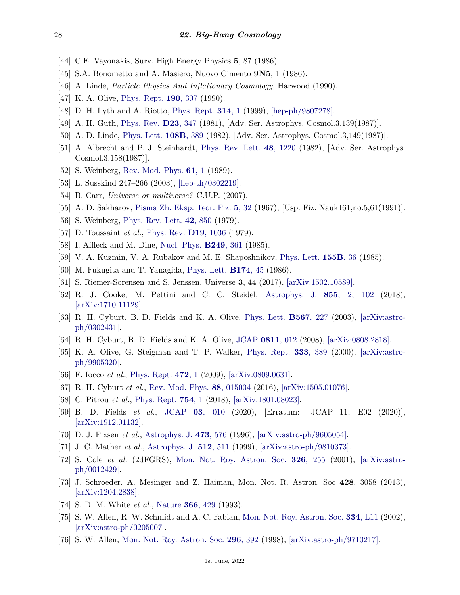- [44] C.E. Vayonakis, Surv. High Energy Physics **5**, 87 (1986).
- <span id="page-27-0"></span>[45] S.A. Bonometto and A. Masiero, Nuovo Cimento **9N5**, 1 (1986).
- <span id="page-27-1"></span>[46] A. Linde, *Particle Physics And Inflationary Cosmology*, Harwood (1990).
- [47] K. A. Olive, [Phys. Rept.](http://doi.org/10.1016/0370-1573(90)90144-Q) **190**[, 307](http://doi.org/10.1016/0370-1573(90)90144-Q) (1990).
- <span id="page-27-2"></span>[48] D. H. Lyth and A. Riotto, [Phys. Rept.](http://doi.org/10.1016/S0370-1573(98)00128-8) **[314](http://doi.org/10.1016/S0370-1573(98)00128-8)**, 1 (1999), [\[hep-ph/9807278\].](https://arxiv.org/abs/hep-ph/9807278)
- <span id="page-27-3"></span>[49] A. H. Guth, [Phys. Rev.](http://doi.org/10.1103/PhysRevD.23.347) **D23**[, 347](http://doi.org/10.1103/PhysRevD.23.347) (1981), [Adv. Ser. Astrophys. Cosmol.3,139(1987)].
- <span id="page-27-4"></span>[50] A. D. Linde, [Phys. Lett.](http://doi.org/10.1016/0370-2693(82)91219-9) **[108B](http://doi.org/10.1016/0370-2693(82)91219-9)**, 389 (1982), [Adv. Ser. Astrophys. Cosmol.3,149(1987)].
- <span id="page-27-5"></span>[51] A. Albrecht and P. J. Steinhardt, [Phys. Rev. Lett.](http://doi.org/10.1103/PhysRevLett.48.1220) **48**[, 1220](http://doi.org/10.1103/PhysRevLett.48.1220) (1982), [Adv. Ser. Astrophys. Cosmol.3,158(1987)].
- <span id="page-27-6"></span>[52] S. Weinberg, [Rev. Mod. Phys.](http://doi.org/10.1103/RevModPhys.61.1) **[61](http://doi.org/10.1103/RevModPhys.61.1)**, 1 (1989).
- [53] L. Susskind 247–266 (2003), [\[hep-th/0302219\].](https://arxiv.org/abs/hep-th/0302219)
- <span id="page-27-7"></span>[54] B. Carr, *Universe or multiverse?* C.U.P. (2007).
- <span id="page-27-8"></span>[55] A. D. Sakharov, [Pisma Zh. Eksp. Teor. Fiz.](http://doi.org/10.1070/PU1991v034n05ABEH002497) **5**[, 32](http://doi.org/10.1070/PU1991v034n05ABEH002497) (1967), [Usp. Fiz. Nauk161,no.5,61(1991)].
- <span id="page-27-9"></span>[56] S. Weinberg, [Phys. Rev. Lett.](http://doi.org/10.1103/PhysRevLett.42.850) **42**[, 850](http://doi.org/10.1103/PhysRevLett.42.850) (1979).
- <span id="page-27-10"></span>[57] D. Toussaint *et al.*, [Phys. Rev.](http://doi.org/10.1103/PhysRevD.19.1036) **D19**[, 1036](http://doi.org/10.1103/PhysRevD.19.1036) (1979).
- <span id="page-27-11"></span>[58] I. Affleck and M. Dine, [Nucl. Phys.](http://doi.org/10.1016/0550-3213(85)90021-5) **[B249](http://doi.org/10.1016/0550-3213(85)90021-5)**, 361 (1985).
- <span id="page-27-12"></span>[59] V. A. Kuzmin, V. A. Rubakov and M. E. Shaposhnikov, [Phys. Lett.](http://doi.org/10.1016/0370-2693(85)91028-7) **[155B](http://doi.org/10.1016/0370-2693(85)91028-7)**, 36 (1985).
- <span id="page-27-13"></span>[60] M. Fukugita and T. Yanagida, [Phys. Lett.](http://doi.org/10.1016/0370-2693(86)91126-3) **[B174](http://doi.org/10.1016/0370-2693(86)91126-3)**, 45 (1986).
- <span id="page-27-14"></span>[61] S. Riemer-Sorensen and S. Jenssen, Universe **3**, 44 (2017), [\[arXiv:1502.10589\].](https://arxiv.org/abs/1502.10589)
- <span id="page-27-15"></span>[62] R. J. Cooke, M. Pettini and C. C. Steidel, [Astrophys. J.](http://doi.org/10.3847/1538-4357/aaab53) **855**[, 2, 102](http://doi.org/10.3847/1538-4357/aaab53) (2018), [\[arXiv:1710.11129\].](https://arxiv.org/abs/1710.11129)
- <span id="page-27-16"></span>[63] R. H. Cyburt, B. D. Fields and K. A. Olive, [Phys. Lett.](http://doi.org/10.1016/j.physletb.2003.06.026) **[B567](http://doi.org/10.1016/j.physletb.2003.06.026)**, 227 (2003), [\[arXiv:astro](https://arxiv.org/abs/astro-ph/0302431)[ph/0302431\].](https://arxiv.org/abs/astro-ph/0302431)
- <span id="page-27-17"></span>[64] R. H. Cyburt, B. D. Fields and K. A. Olive, [JCAP](http://doi.org/10.1088/1475-7516/2008/11/012) **[0811](http://doi.org/10.1088/1475-7516/2008/11/012)**, 012 (2008), [\[arXiv:0808.2818\].](https://arxiv.org/abs/0808.2818)
- <span id="page-27-18"></span>[65] K. A. Olive, G. Steigman and T. P. Walker, [Phys. Rept.](http://doi.org/10.1016/S0370-1573(00)00031-4) **333**[, 389](http://doi.org/10.1016/S0370-1573(00)00031-4) (2000), [\[arXiv:astro](https://arxiv.org/abs/astro-ph/9905320)[ph/9905320\].](https://arxiv.org/abs/astro-ph/9905320)
- [66] F. Iocco *et al.*, [Phys. Rept.](http://doi.org/10.1016/j.physrep.2009.02.002) **[472](http://doi.org/10.1016/j.physrep.2009.02.002)**, 1 (2009), [\[arXiv:0809.0631\].](https://arxiv.org/abs/0809.0631)
- [67] R. H. Cyburt *et al.*, [Rev. Mod. Phys.](http://doi.org/10.1103/RevModPhys.88.015004) **88**[, 015004](http://doi.org/10.1103/RevModPhys.88.015004) (2016), [\[arXiv:1505.01076\].](https://arxiv.org/abs/1505.01076)
- [68] C. Pitrou *et al.*, [Phys. Rept.](http://doi.org/10.1016/j.physrep.2018.04.005) **[754](http://doi.org/10.1016/j.physrep.2018.04.005)**, 1 (2018), [\[arXiv:1801.08023\].](https://arxiv.org/abs/1801.08023)
- <span id="page-27-19"></span>[69] B. D. Fields *et al.*, [JCAP](http://doi.org/10.1088/1475-7516/2020/03/010) **03**[, 010](http://doi.org/10.1088/1475-7516/2020/03/010) (2020), [Erratum: JCAP 11, E02 (2020)], [\[arXiv:1912.01132\].](https://arxiv.org/abs/1912.01132)
- <span id="page-27-20"></span>[70] D. J. Fixsen *et al.*, [Astrophys. J.](http://doi.org/10.1086/178173) **473**[, 576](http://doi.org/10.1086/178173) (1996), [\[arXiv:astro-ph/9605054\].](https://arxiv.org/abs/astro-ph/9605054)
- <span id="page-27-21"></span>[71] J. C. Mather *et al.*, [Astrophys. J.](http://doi.org/10.1086/306805) **512**[, 511](http://doi.org/10.1086/306805) (1999), [\[arXiv:astro-ph/9810373\].](https://arxiv.org/abs/astro-ph/9810373)
- <span id="page-27-22"></span>[72] S. Cole *et al.* (2dFGRS), [Mon. Not. Roy. Astron. Soc.](http://doi.org/10.1046/j.1365-8711.2001.04591.x) **326**[, 255](http://doi.org/10.1046/j.1365-8711.2001.04591.x) (2001), [\[arXiv:astro](https://arxiv.org/abs/astro-ph/0012429)[ph/0012429\].](https://arxiv.org/abs/astro-ph/0012429)
- <span id="page-27-23"></span>[73] J. Schroeder, A. Mesinger and Z. Haiman, Mon. Not. R. Astron. Soc **428**, 3058 (2013), [\[arXiv:1204.2838\].](https://arxiv.org/abs/1204.2838)
- <span id="page-27-24"></span>[74] S. D. M. White *et al.*, [Nature](http://doi.org/10.1038/366429a0) **366**[, 429](http://doi.org/10.1038/366429a0) (1993).
- <span id="page-27-25"></span>[75] S. W. Allen, R. W. Schmidt and A. C. Fabian, [Mon. Not. Roy. Astron. Soc.](http://doi.org/10.1046/j.1365-8711.2002.05601.x) **334**[, L11](http://doi.org/10.1046/j.1365-8711.2002.05601.x) (2002), [\[arXiv:astro-ph/0205007\].](https://arxiv.org/abs/astro-ph/0205007)
- <span id="page-27-26"></span>[76] S. W. Allen, [Mon. Not. Roy. Astron. Soc.](http://doi.org/10.1046/j.1365-8711.1998.01358.x) **296**[, 392](http://doi.org/10.1046/j.1365-8711.1998.01358.x) (1998), [\[arXiv:astro-ph/9710217\].](https://arxiv.org/abs/astro-ph/9710217)